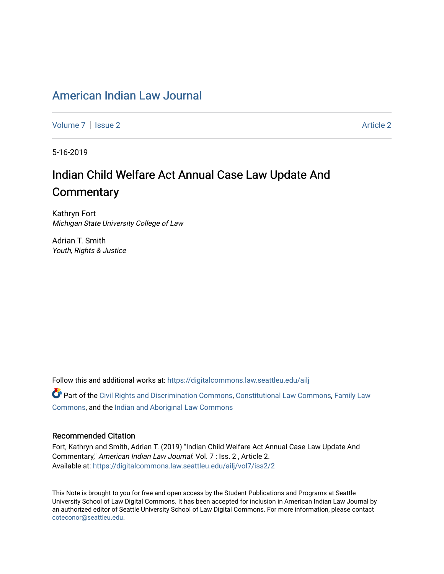### American Indian Law Journal

Volume 7 | Issue 2 Article 2

5-16-2019

# Indian Child Welfare Act Annual Case Law Update And **Commentary**

Kathryn Fort Michigan State University College of Law

Adrian T. Smith Youth, Rights & Justice

Follow this and additional works at: https://digitalcommons.law.seattleu.edu/ailj

Part of the Civil Rights and Discrimination Commons, Constitutional Law Commons, Family Law Commons, and the Indian and Aboriginal Law Commons

#### Recommended Citation

Fort, Kathryn and Smith, Adrian T. (2019) "Indian Child Welfare Act Annual Case Law Update And Commentary," American Indian Law Journal: Vol. 7 : Iss. 2 , Article 2. Available at: https://digitalcommons.law.seattleu.edu/ailj/vol7/iss2/2

This Note is brought to you for free and open access by the Student Publications and Programs at Seattle University School of Law Digital Commons. It has been accepted for inclusion in American Indian Law Journal by an authorized editor of Seattle University School of Law Digital Commons. For more information, please contact coteconor@seattleu.edu.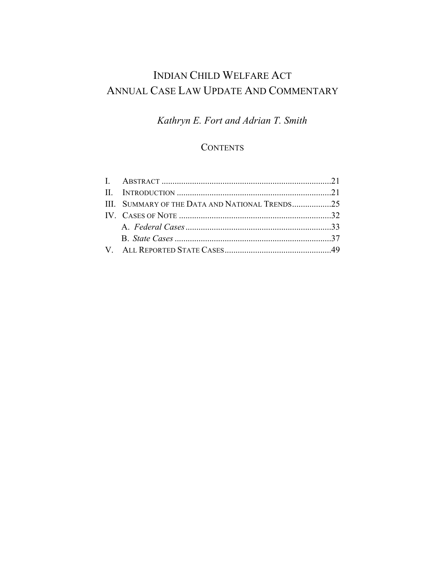# INDIAN CHILD WELFARE ACT ANNUAL CASE LAW UPDATE AND COMMENTARY

## *Kathryn E. Fort and Adrian T. Smith*

### **CONTENTS**

| III. SUMMARY OF THE DATA AND NATIONAL TRENDS25 |  |
|------------------------------------------------|--|
|                                                |  |
|                                                |  |
|                                                |  |
|                                                |  |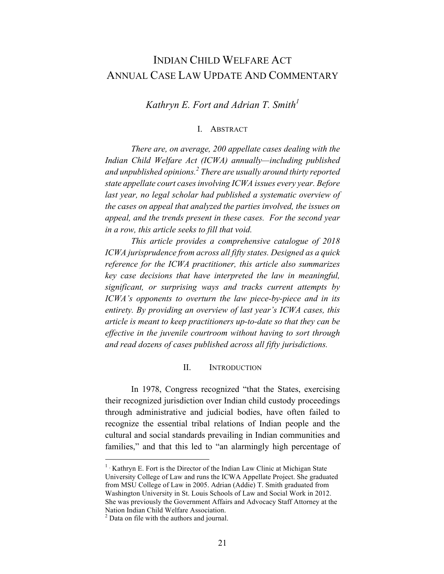### INDIAN CHILD WELFARE ACT ANNUAL CASE LAW UPDATE AND COMMENTARY

*Kathryn E. Fort and Adrian T. Smith<sup>1</sup>*

#### I. ABSTRACT

*There are, on average, 200 appellate cases dealing with the Indian Child Welfare Act (ICWA) annually—including published and unpublished opinions.2 There are usually around thirty reported state appellate court cases involving ICWA issues every year. Before last year, no legal scholar had published a systematic overview of the cases on appeal that analyzed the parties involved, the issues on appeal, and the trends present in these cases. For the second year in a row, this article seeks to fill that void.*

*This article provides a comprehensive catalogue of 2018 ICWA jurisprudence from across all fifty states. Designed as a quick reference for the ICWA practitioner, this article also summarizes key case decisions that have interpreted the law in meaningful, significant, or surprising ways and tracks current attempts by ICWA's opponents to overturn the law piece-by-piece and in its entirety. By providing an overview of last year's ICWA cases, this article is meant to keep practitioners up-to-date so that they can be effective in the juvenile courtroom without having to sort through and read dozens of cases published across all fifty jurisdictions.*

#### II. INTRODUCTION

In 1978, Congress recognized "that the States, exercising their recognized jurisdiction over Indian child custody proceedings through administrative and judicial bodies, have often failed to recognize the essential tribal relations of Indian people and the cultural and social standards prevailing in Indian communities and families," and that this led to "an alarmingly high percentage of

 $1$  • Kathryn E. Fort is the Director of the Indian Law Clinic at Michigan State University College of Law and runs the ICWA Appellate Project. She graduated from MSU College of Law in 2005. Adrian (Addie) T. Smith graduated from Washington University in St. Louis Schools of Law and Social Work in 2012. She was previously the Government Affairs and Advocacy Staff Attorney at the Nation Indian Child Welfare Association.

<sup>&</sup>lt;sup>2</sup> Data on file with the authors and journal.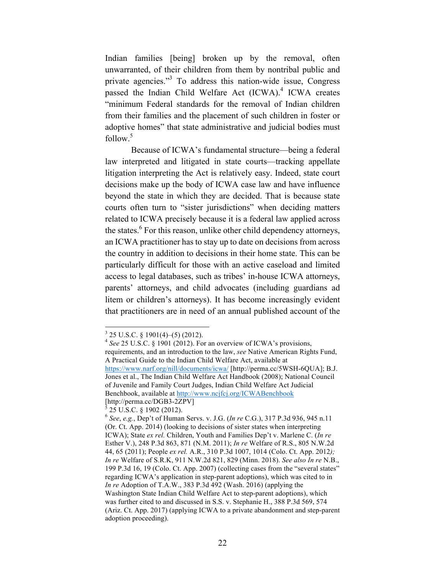Indian families [being] broken up by the removal, often unwarranted, of their children from them by nontribal public and private agencies."3 To address this nation-wide issue, Congress passed the Indian Child Welfare Act (ICWA). <sup>4</sup> ICWA creates "minimum Federal standards for the removal of Indian children from their families and the placement of such children in foster or adoptive homes" that state administrative and judicial bodies must follow.<sup>5</sup>

Because of ICWA's fundamental structure—being a federal law interpreted and litigated in state courts—tracking appellate litigation interpreting the Act is relatively easy. Indeed, state court decisions make up the body of ICWA case law and have influence beyond the state in which they are decided. That is because state courts often turn to "sister jurisdictions" when deciding matters related to ICWA precisely because it is a federal law applied across the states.<sup>6</sup> For this reason, unlike other child dependency attorneys, an ICWA practitioner has to stay up to date on decisions from across the country in addition to decisions in their home state. This can be particularly difficult for those with an active caseload and limited access to legal databases, such as tribes' in-house ICWA attorneys, parents' attorneys, and child advocates (including guardians ad litem or children's attorneys). It has become increasingly evident that practitioners are in need of an annual published account of the

<sup>3</sup> 25 U.S.C. § 1901(4)–(5) (2012). <sup>4</sup> *See* 25 U.S.C. § 1901 (2012). For an overview of ICWA's provisions, requirements, and an introduction to the law, *see* Native American Rights Fund, A Practical Guide to the Indian Child Welfare Act, available at https://www.narf.org/nill/documents/icwa/ [http://perma.cc/5WSH-6QUA]; B.J. Jones et al., The Indian Child Welfare Act Handbook (2008); National Council of Juvenile and Family Court Judges, Indian Child Welfare Act Judicial Benchbook, available at http://www.ncjfcj.org/ICWABenchbook [http://perma.cc/DGB3-2ZPV]<br>
<sup>5</sup> 25 U.S.C. § 1902 (2012).

<sup>6</sup> *See*, *e.g.*, Dep't of Human Servs. v. J.G. (*In re* C.G.), 317 P.3d 936, 945 n.11 (Or. Ct. App. 2014) (looking to decisions of sister states when interpreting ICWA); State *ex rel.* Children, Youth and Families Dep't v. Marlene C. (*In re*  Esther V.), 248 P.3d 863, 871 (N.M. 2011); *In re* Welfare of R.S., 805 N.W.2d 44, 65 (2011); People *ex rel.* A.R., 310 P.3d 1007, 1014 (Colo. Ct. App. 2012*); In re* Welfare of S.R.K, 911 N.W.2d 821, 829 (Minn. 2018). *See also In re* N.B., 199 P.3d 16, 19 (Colo. Ct. App. 2007) (collecting cases from the "several states" regarding ICWA's application in step-parent adoptions), which was cited to in *In re* Adoption of T.A.W., 383 P.3d 492 (Wash. 2016) (applying the Washington State Indian Child Welfare Act to step-parent adoptions), which was further cited to and discussed in S.S. v. Stephanie H., 388 P.3d 569, 574 (Ariz. Ct. App. 2017) (applying ICWA to a private abandonment and step-parent adoption proceeding).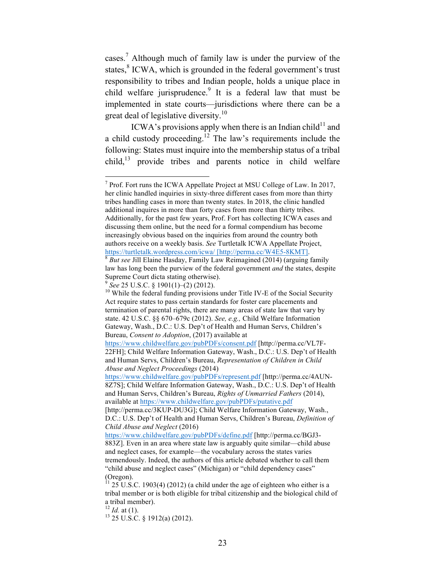cases.<sup>7</sup> Although much of family law is under the purview of the states,<sup>8</sup> ICWA, which is grounded in the federal government's trust responsibility to tribes and Indian people, holds a unique place in child welfare jurisprudence.<sup>9</sup> It is a federal law that must be implemented in state courts—jurisdictions where there can be a great deal of legislative diversity.<sup>10</sup>

ICWA's provisions apply when there is an Indian child<sup>11</sup> and a child custody proceeding.<sup>12</sup> The law's requirements include the following: States must inquire into the membership status of a tribal  $child<sub>13</sub>$  provide tribes and parents notice in child welfare

 $7$  Prof. Fort runs the ICWA Appellate Project at MSU College of Law. In 2017, her clinic handled inquiries in sixty-three different cases from more than thirty tribes handling cases in more than twenty states. In 2018, the clinic handled additional inquires in more than forty cases from more than thirty tribes. Additionally, for the past few years, Prof. Fort has collecting ICWA cases and discussing them online, but the need for a formal compendium has become increasingly obvious based on the inquiries from around the country both authors receive on a weekly basis. *See* Turtletalk ICWA Appellate Project, https://turtletalk.wordpress.com/icwa/ [http://perma.cc/W4E5-8KMT]. 8 *But see* Jill Elaine Hasday, Family Law Reimagined (2014) (arguing family

law has long been the purview of the federal government *and* the states, despite Supreme Court dicta stating otherwise).

<sup>&</sup>lt;sup>9</sup> See 25 U.S.C. § 1901(1)–(2) (2012). <sup>10</sup> While the federal funding provisions under Title IV-E of the Social Security Act require states to pass certain standards for foster care placements and termination of parental rights, there are many areas of state law that vary by state. 42 U.S.C. §§ 670–679c (2012). *See, e.g.,* Child Welfare Information Gateway, Wash., D.C.: U.S. Dep't of Health and Human Servs, Children's Bureau, *Consent to Adoption*, (2017) available at

https://www.childwelfare.gov/pubPDFs/consent.pdf [http://perma.cc/VL7F-22FH]; Child Welfare Information Gateway, Wash., D.C.: U.S. Dep't of Health and Human Servs, Children's Bureau, *Representation of Children in Child Abuse and Neglect Proceedings* (2014)

https://www.childwelfare.gov/pubPDFs/represent.pdf [http://perma.cc/4AUN-8Z7S]; Child Welfare Information Gateway, Wash., D.C.: U.S. Dep't of Health and Human Servs, Children's Bureau, *Rights of Unmarried Fathers* (2014), available at https://www.childwelfare.gov/pubPDFs/putative.pdf

<sup>[</sup>http://perma.cc/3KUP-DU3G]; Child Welfare Information Gateway, Wash., D.C.: U.S. Dep't of Health and Human Servs, Children's Bureau, *Definition of Child Abuse and Neglect* (2016)

https://www.childwelfare.gov/pubPDFs/define.pdf [http://perma.cc/BGJ3- 883Z]. Even in an area where state law is arguably quite similar—child abuse and neglect cases, for example—the vocabulary across the states varies tremendously. Indeed, the authors of this article debated whether to call them "child abuse and neglect cases" (Michigan) or "child dependency cases" (Oregon).

 $11$  25 U.S.C. 1903(4) (2012) (a child under the age of eighteen who either is a tribal member or is both eligible for tribal citizenship and the biological child of a tribal member).<br> $^{12}$  *Id.* at (1).

 $13$  25 U.S.C. § 1912(a) (2012).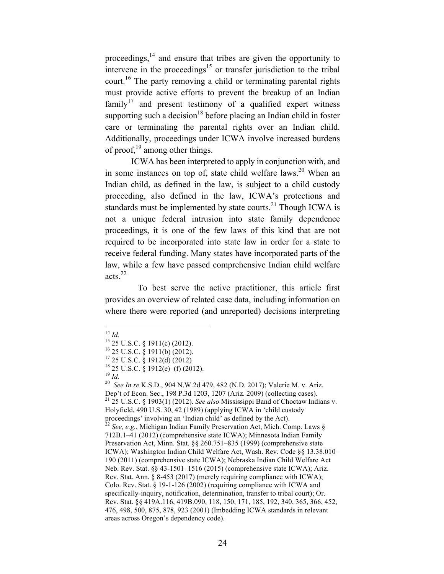proceedings, $14$  and ensure that tribes are given the opportunity to intervene in the proceedings<sup>15</sup> or transfer jurisdiction to the tribal court.<sup>16</sup> The party removing a child or terminating parental rights must provide active efforts to prevent the breakup of an Indian family<sup>17</sup> and present testimony of a qualified expert witness supporting such a decision<sup>18</sup> before placing an Indian child in foster care or terminating the parental rights over an Indian child. Additionally, proceedings under ICWA involve increased burdens of proof,  $19$  among other things.

ICWA has been interpreted to apply in conjunction with, and in some instances on top of, state child welfare laws.<sup>20</sup> When an Indian child, as defined in the law, is subject to a child custody proceeding, also defined in the law, ICWA's protections and standards must be implemented by state courts.<sup>21</sup> Though ICWA is not a unique federal intrusion into state family dependence proceedings, it is one of the few laws of this kind that are not required to be incorporated into state law in order for a state to receive federal funding. Many states have incorporated parts of the law, while a few have passed comprehensive Indian child welfare acts. 22

To best serve the active practitioner, this article first provides an overview of related case data, including information on where there were reported (and unreported) decisions interpreting

<sup>14</sup> *Id.*<br><sup>15</sup> 25 U.S.C. § 1911(c) (2012).<br><sup>16</sup> 25 U.S.C. § 1911(b) (2012).<br><sup>17</sup> 25 U.S.C. § 1912(d) (2012)<br><sup>18</sup> 25 U.S.C. § 1912(e)–(f) (2012).<br><sup>19</sup> *Id.*<br><sup>20</sup> *See In re* K.S.D., 904 N.W.2d 479, 482 (N.D. 2017); Valeri Dep't of Econ. Sec., 198 P.3d 1203, 1207 (Ariz. 2009) (collecting cases). <sup>21</sup> 25 U.S.C. § 1903(1) (2012). *See also* Mississippi Band of Choctaw Indians v. Holyfield, 490 U.S. 30, 42 (1989) (applying ICWA in 'child custody proceedings' involving an 'Indian child' as defined by the Act). <sup>22</sup> *See, e.g.*, Michigan Indian Family Preservation Act, Mich. Comp. Laws § 712B.1–41 (2012) (comprehensive state ICWA); Minnesota Indian Family Preservation Act, Minn. Stat. §§ 260.751–835 (1999) (comprehensive state ICWA); Washington Indian Child Welfare Act, Wash. Rev. Code §§ 13.38.010– 190 (2011) (comprehensive state ICWA); Nebraska Indian Child Welfare Act Neb. Rev. Stat. §§ 43-1501–1516 (2015) (comprehensive state ICWA); Ariz. Rev. Stat. Ann. § 8-453 (2017) (merely requiring compliance with ICWA); Colo. Rev. Stat. § 19-1-126 (2002) (requiring compliance with ICWA and specifically-inquiry, notification, determination, transfer to tribal court); Or. Rev. Stat. §§ 419A.116, 419B.090, 118, 150, 171, 185, 192, 340, 365, 366, 452, 476, 498, 500, 875, 878, 923 (2001) (Imbedding ICWA standards in relevant areas across Oregon's dependency code).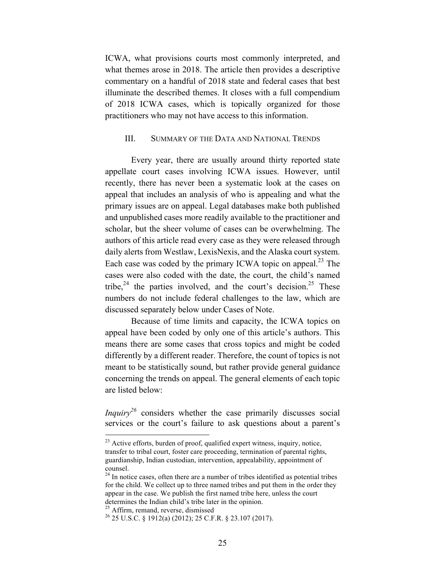ICWA, what provisions courts most commonly interpreted, and what themes arose in 2018. The article then provides a descriptive commentary on a handful of 2018 state and federal cases that best illuminate the described themes. It closes with a full compendium of 2018 ICWA cases, which is topically organized for those practitioners who may not have access to this information.

#### III. SUMMARY OF THE DATA AND NATIONAL TRENDS

Every year, there are usually around thirty reported state appellate court cases involving ICWA issues. However, until recently, there has never been a systematic look at the cases on appeal that includes an analysis of who is appealing and what the primary issues are on appeal. Legal databases make both published and unpublished cases more readily available to the practitioner and scholar, but the sheer volume of cases can be overwhelming. The authors of this article read every case as they were released through daily alerts from Westlaw, LexisNexis, and the Alaska court system. Each case was coded by the primary ICWA topic on appeal.<sup>23</sup> The cases were also coded with the date, the court, the child's named tribe,<sup>24</sup> the parties involved, and the court's decision.<sup>25</sup> These numbers do not include federal challenges to the law, which are discussed separately below under Cases of Note.

Because of time limits and capacity, the ICWA topics on appeal have been coded by only one of this article's authors. This means there are some cases that cross topics and might be coded differently by a different reader. Therefore, the count of topics is not meant to be statistically sound, but rather provide general guidance concerning the trends on appeal. The general elements of each topic are listed below:

*Inquiry*<sup>26</sup> considers whether the case primarily discusses social services or the court's failure to ask questions about a parent's

<sup>&</sup>lt;sup>23</sup> Active efforts, burden of proof, qualified expert witness, inquiry, notice, transfer to tribal court, foster care proceeding, termination of parental rights, guardianship, Indian custodian, intervention, appealability, appointment of counsel.

<sup>&</sup>lt;sup>24</sup> In notice cases, often there are a number of tribes identified as potential tribes for the child. We collect up to three named tribes and put them in the order they appear in the case. We publish the first named tribe here, unless the court determines the Indian child's tribe later in the opinion.

<sup>&</sup>lt;sup>25</sup> Affirm, remand, reverse, dismissed <sup>26</sup> 25 U.S.C. § 1912(a) (2012); 25 C.F.R. § 23.107 (2017).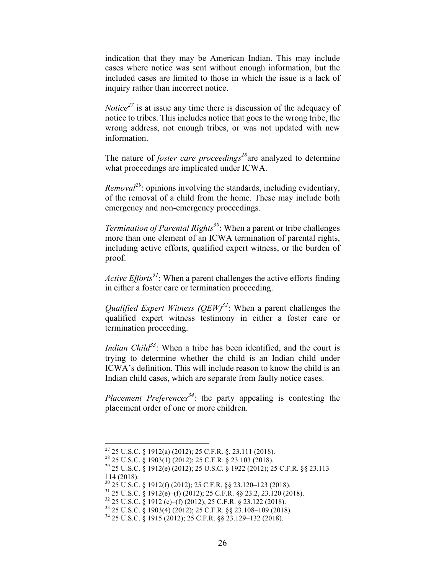indication that they may be American Indian. This may include cases where notice was sent without enough information, but the included cases are limited to those in which the issue is a lack of inquiry rather than incorrect notice.

*Notice*<sup>27</sup> is at issue any time there is discussion of the adequacy of notice to tribes. This includes notice that goes to the wrong tribe, the wrong address, not enough tribes, or was not updated with new information.

The nature of *foster care proceedings <sup>28</sup>*are analyzed to determine what proceedings are implicated under ICWA.

*Removal*<sup>29</sup>: opinions involving the standards, including evidentiary, of the removal of a child from the home. These may include both emergency and non-emergency proceedings.

*Termination of Parental Rights*<sup>30</sup>: When a parent or tribe challenges more than one element of an ICWA termination of parental rights, including active efforts, qualified expert witness, or the burden of proof.

*Active Efforts*<sup>31</sup>: When a parent challenges the active efforts finding in either a foster care or termination proceeding.

*Qualified Expert Witness (QEW)*<sup>32</sup>: When a parent challenges the qualified expert witness testimony in either a foster care or termination proceeding.

*Indian Child*<sup>33</sup>: When a tribe has been identified, and the court is trying to determine whether the child is an Indian child under ICWA's definition. This will include reason to know the child is an Indian child cases, which are separate from faulty notice cases.

*Placement Preferences<sup>34</sup>*: the party appealing is contesting the placement order of one or more children.

<sup>&</sup>lt;sup>27</sup> 25 U.S.C. § 1912(a) (2012); 25 C.F.R. §. 23.111 (2018).<br><sup>28</sup> 25 U.S.C. § 1903(1) (2012); 25 C.F.R. § 23.103 (2018).<br><sup>29</sup> 25 U.S.C. § 1912(e) (2012); 25 U.S.C. § 1922 (2012); 25 C.F.R. §§ 23.113–

<sup>114 (2018).&</sup>lt;br><sup>30</sup> 25 U.S.C. § 1912(f) (2012); 25 C.F.R. §§ 23.120–123 (2018).

<sup>31 25</sup> U.S.C. § 1912(e)–(f) (2012); 25 C.F.R. §§ 23.2, 23.120 (2018).<br>
<sup>32</sup> 25 U.S.C. § 1912 (e)–(f) (2012); 25 C.F.R. § 23.122 (2018).<br>
<sup>33</sup> 25 U.S.C. § 1903(4) (2012); 25 C.F.R. §§ 23.108–109 (2018).<br>
<sup>34</sup> 25 U.S.C. § 19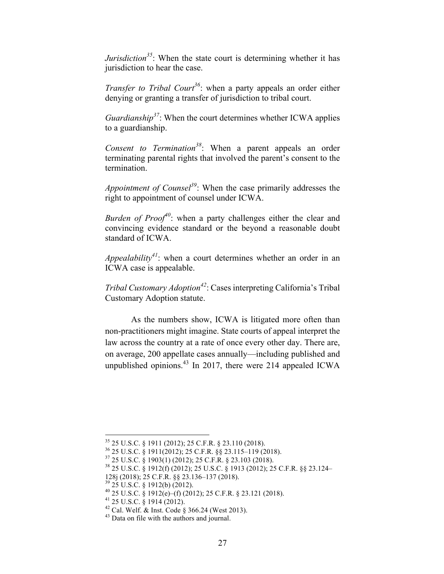*Jurisdiction*<sup>35</sup>: When the state court is determining whether it has jurisdiction to hear the case.

*Transfer to Tribal Court<sup>36</sup>*: when a party appeals an order either denying or granting a transfer of jurisdiction to tribal court.

*Guardianship<sup>37</sup>*: When the court determines whether ICWA applies to a guardianship.

*Consent to Termination<sup>38</sup>*: When a parent appeals an order terminating parental rights that involved the parent's consent to the termination.

*Appointment of Counsel<sup>39</sup>*: When the case primarily addresses the right to appointment of counsel under ICWA.

*Burden of Proof<sup>40</sup>*: when a party challenges either the clear and convincing evidence standard or the beyond a reasonable doubt standard of ICWA.

*Appealability*<sup>41</sup>: when a court determines whether an order in an ICWA case is appealable.

*Tribal Customary Adoption<sup>42</sup>*: Cases interpreting California's Tribal Customary Adoption statute.

As the numbers show, ICWA is litigated more often than non-practitioners might imagine. State courts of appeal interpret the law across the country at a rate of once every other day. There are, on average, 200 appellate cases annually—including published and unpublished opinions. $43$  In 2017, there were 214 appealed ICWA

<sup>&</sup>lt;sup>35</sup> 25 U.S.C. § 1911 (2012); 25 C.F.R. § 23.110 (2018).<br><sup>36</sup> 25 U.S.C. § 1911(2012); 25 C.F.R. §§ 23.115–119 (2018).<br><sup>37</sup> 25 U.S.C. § 1903(1) (2012); 25 C.F.R. § 23.103 (2018).<br><sup>38</sup> 25 U.S.C. § 1912(f) (2012); 25 U.S.C. §

<sup>128</sup>j (2018); 25 C.F.R. §§ 23.136–137 (2018).<br><sup>39</sup> 25 U.S.C. § 1912(b) (2012).<br><sup>40</sup> 25 U.S.C. § 1912(e)–(f) (2012); 25 C.F.R. § 23.121 (2018).<br><sup>41</sup> 25 U.S.C. § 1914 (2012).<br><sup>42</sup> Cal. Welf. & Inst. Code § 366.24 (West 2013)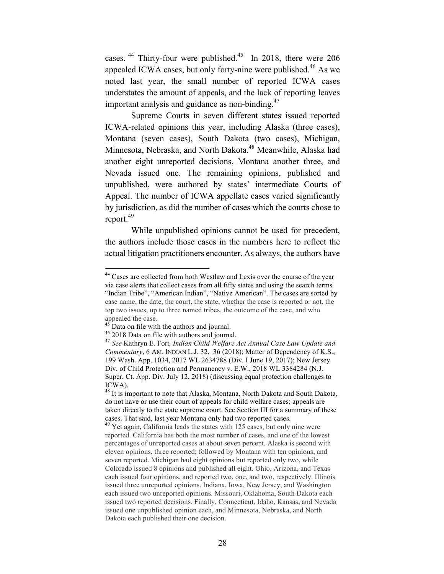cases.  $44$  Thirty-four were published.  $45$  In 2018, there were 206 appealed ICWA cases, but only forty-nine were published.<sup>46</sup> As we noted last year, the small number of reported ICWA cases understates the amount of appeals, and the lack of reporting leaves important analysis and guidance as non-binding. $47$ 

Supreme Courts in seven different states issued reported ICWA-related opinions this year, including Alaska (three cases), Montana (seven cases), South Dakota (two cases), Michigan, Minnesota, Nebraska, and North Dakota.<sup>48</sup> Meanwhile, Alaska had another eight unreported decisions, Montana another three, and Nevada issued one. The remaining opinions, published and unpublished, were authored by states' intermediate Courts of Appeal. The number of ICWA appellate cases varied significantly by jurisdiction, as did the number of cases which the courts chose to report.<sup>49</sup>

While unpublished opinions cannot be used for precedent, the authors include those cases in the numbers here to reflect the actual litigation practitioners encounter. As always, the authors have

 <sup>44</sup> Cases are collected from both Westlaw and Lexis over the course of the year via case alerts that collect cases from all fifty states and using the search terms "Indian Tribe", "American Indian", "Native American". The cases are sorted by case name, the date, the court, the state, whether the case is reported or not, the top two issues, up to three named tribes, the outcome of the case, and who appealed the case.

<sup>45</sup> Data on file with the authors and journal. 46 2018 Data on file with authors and journal. <sup>47</sup> *See* Kathryn E. Fort*, Indian Child Welfare Act Annual Case Law Update and Commentary*, 6 AM. INDIAN L.J. 32, 36 (2018); Matter of Dependency of K.S., 199 Wash. App. 1034, 2017 WL 2634788 (Div. I June 19, 2017); New Jersey Div. of Child Protection and Permanency v. E.W., 2018 WL 3384284 (N.J. Super. Ct. App. Div. July 12, 2018) (discussing equal protection challenges to ICWA).

<sup>&</sup>lt;sup>48</sup> It is important to note that Alaska, Montana, North Dakota and South Dakota, do not have or use their court of appeals for child welfare cases; appeals are taken directly to the state supreme court. See Section III for a summary of these cases. That said, last year Montana only had two reported cases.

 $49$  Yet again. California leads the states with 125 cases, but only nine were reported. California has both the most number of cases, and one of the lowest percentages of unreported cases at about seven percent. Alaska is second with eleven opinions, three reported; followed by Montana with ten opinions, and seven reported. Michigan had eight opinions but reported only two, while Colorado issued 8 opinions and published all eight. Ohio, Arizona, and Texas each issued four opinions, and reported two, one, and two, respectively. Illinois issued three unreported opinions. Indiana, Iowa, New Jersey, and Washington each issued two unreported opinions. Missouri, Oklahoma, South Dakota each issued two reported decisions. Finally, Connecticut, Idaho, Kansas, and Nevada issued one unpublished opinion each, and Minnesota, Nebraska, and North Dakota each published their one decision.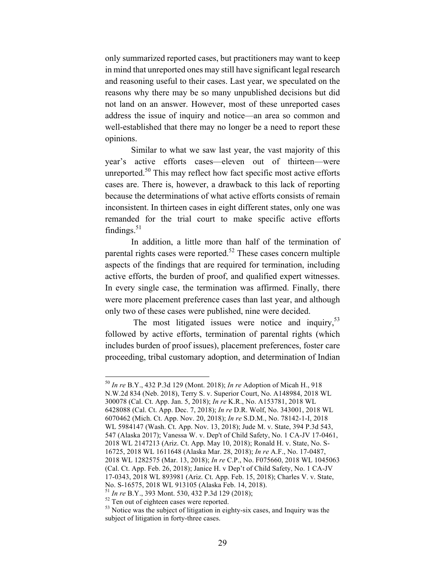only summarized reported cases, but practitioners may want to keep in mind that unreported ones may still have significant legal research and reasoning useful to their cases. Last year, we speculated on the reasons why there may be so many unpublished decisions but did not land on an answer. However, most of these unreported cases address the issue of inquiry and notice—an area so common and well-established that there may no longer be a need to report these opinions.

Similar to what we saw last year, the vast majority of this year's active efforts cases—eleven out of thirteen—were unreported. $50$  This may reflect how fact specific most active efforts cases are. There is, however, a drawback to this lack of reporting because the determinations of what active efforts consists of remain inconsistent. In thirteen cases in eight different states, only one was remanded for the trial court to make specific active efforts findings.<sup>51</sup>

In addition, a little more than half of the termination of parental rights cases were reported.<sup>52</sup> These cases concern multiple aspects of the findings that are required for termination, including active efforts, the burden of proof, and qualified expert witnesses. In every single case, the termination was affirmed. Finally, there were more placement preference cases than last year, and although only two of these cases were published, nine were decided.

The most litigated issues were notice and inquiry,<sup>53</sup> followed by active efforts, termination of parental rights (which includes burden of proof issues), placement preferences, foster care proceeding, tribal customary adoption, and determination of Indian

 <sup>50</sup> *In re* B.Y., 432 P.3d 129 (Mont. 2018); *In re* Adoption of Micah H., 918 N.W.2d 834 (Neb. 2018), Terry S. v. Superior Court, No. A148984, 2018 WL 300078 (Cal. Ct. App. Jan. 5, 2018); *In re* K.R., No. A153781, 2018 WL 6428088 (Cal. Ct. App. Dec. 7, 2018); *In re* D.R. Wolf, No. 343001, 2018 WL 6070462 (Mich. Ct. App. Nov. 20, 2018); *In re* S.D.M., No. 78142-1-I, 2018 WL 5984147 (Wash. Ct. App. Nov. 13, 2018); Jude M. v. State, 394 P.3d 543, 547 (Alaska 2017); Vanessa W. v. Dep't of Child Safety, No. 1 CA-JV 17-0461, 2018 WL 2147213 (Ariz. Ct. App. May 10, 2018); Ronald H. v. State, No. S-16725, 2018 WL 1611648 (Alaska Mar. 28, 2018); *In re* A.F., No. 17-0487, 2018 WL 1282575 (Mar. 13, 2018); *In re* C.P., No. F075660, 2018 WL 1045063 (Cal. Ct. App. Feb. 26, 2018); Janice H. v Dep't of Child Safety, No. 1 CA-JV 17-0343, 2018 WL 893981 (Ariz. Ct. App. Feb. 15, 2018); Charles V. v. State,

<sup>&</sup>lt;sup>51</sup> In re B.Y., 393 Mont. 530, 432 P.3d 129 (2018);<br><sup>52</sup> Ten out of eighteen cases were reported.<br><sup>53</sup> Notice was the subject of litigation in eighty-six cases, and Inquiry was the subject of litigation in forty-three cases.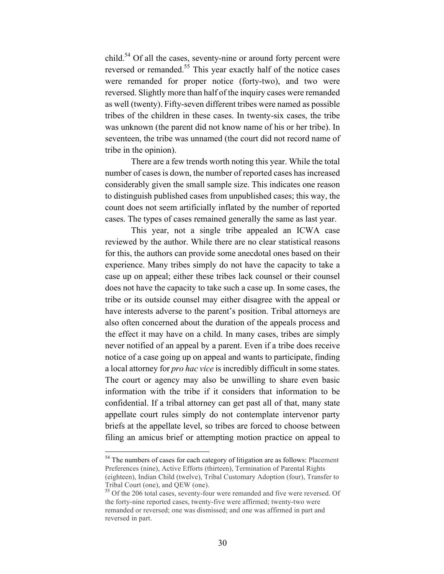child.<sup>54</sup> Of all the cases, seventy-nine or around forty percent were reversed or remanded.<sup>55</sup> This year exactly half of the notice cases were remanded for proper notice (forty-two), and two were reversed. Slightly more than half of the inquiry cases were remanded as well (twenty). Fifty-seven different tribes were named as possible tribes of the children in these cases. In twenty-six cases, the tribe was unknown (the parent did not know name of his or her tribe). In seventeen, the tribe was unnamed (the court did not record name of tribe in the opinion).

There are a few trends worth noting this year. While the total number of cases is down, the number of reported cases has increased considerably given the small sample size. This indicates one reason to distinguish published cases from unpublished cases; this way, the count does not seem artificially inflated by the number of reported cases. The types of cases remained generally the same as last year.

This year, not a single tribe appealed an ICWA case reviewed by the author. While there are no clear statistical reasons for this, the authors can provide some anecdotal ones based on their experience. Many tribes simply do not have the capacity to take a case up on appeal; either these tribes lack counsel or their counsel does not have the capacity to take such a case up. In some cases, the tribe or its outside counsel may either disagree with the appeal or have interests adverse to the parent's position. Tribal attorneys are also often concerned about the duration of the appeals process and the effect it may have on a child. In many cases, tribes are simply never notified of an appeal by a parent. Even if a tribe does receive notice of a case going up on appeal and wants to participate, finding a local attorney for *pro hac vice* is incredibly difficult in some states. The court or agency may also be unwilling to share even basic information with the tribe if it considers that information to be confidential. If a tribal attorney can get past all of that, many state appellate court rules simply do not contemplate intervenor party briefs at the appellate level, so tribes are forced to choose between filing an amicus brief or attempting motion practice on appeal to

<sup>&</sup>lt;sup>54</sup> The numbers of cases for each category of litigation are as follows: Placement Preferences (nine), Active Efforts (thirteen), Termination of Parental Rights (eighteen), Indian Child (twelve), Tribal Customary Adoption (four), Transfer to Tribal Court (one), and QEW (one).

<sup>55</sup> Of the 206 total cases, seventy-four were remanded and five were reversed. Of the forty-nine reported cases, twenty-five were affirmed; twenty-two were remanded or reversed; one was dismissed; and one was affirmed in part and reversed in part.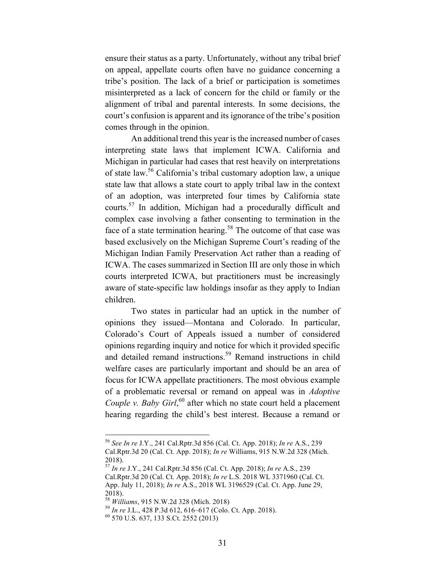ensure their status as a party. Unfortunately, without any tribal brief on appeal, appellate courts often have no guidance concerning a tribe's position. The lack of a brief or participation is sometimes misinterpreted as a lack of concern for the child or family or the alignment of tribal and parental interests. In some decisions, the court's confusion is apparent and its ignorance of the tribe's position comes through in the opinion.

An additional trend this year is the increased number of cases interpreting state laws that implement ICWA. California and Michigan in particular had cases that rest heavily on interpretations of state law.56 California's tribal customary adoption law, a unique state law that allows a state court to apply tribal law in the context of an adoption, was interpreted four times by California state courts.<sup>57</sup> In addition, Michigan had a procedurally difficult and complex case involving a father consenting to termination in the face of a state termination hearing.<sup>58</sup> The outcome of that case was based exclusively on the Michigan Supreme Court's reading of the Michigan Indian Family Preservation Act rather than a reading of ICWA. The cases summarized in Section III are only those in which courts interpreted ICWA, but practitioners must be increasingly aware of state-specific law holdings insofar as they apply to Indian children.

Two states in particular had an uptick in the number of opinions they issued—Montana and Colorado. In particular, Colorado's Court of Appeals issued a number of considered opinions regarding inquiry and notice for which it provided specific and detailed remand instructions.<sup>59</sup> Remand instructions in child welfare cases are particularly important and should be an area of focus for ICWA appellate practitioners. The most obvious example of a problematic reversal or remand on appeal was in *Adoptive Couple v. Baby Girl*,<sup>60</sup> after which no state court held a placement hearing regarding the child's best interest. Because a remand or

 <sup>56</sup> *See In re* J.Y., 241 Cal.Rptr.3d 856 (Cal. Ct. App. 2018); *In re* A.S., 239 Cal.Rptr.3d 20 (Cal. Ct. App. 2018); *In re* Williams, 915 N.W.2d 328 (Mich. 2018).

<sup>57</sup> *In re* J.Y., 241 Cal.Rptr.3d 856 (Cal. Ct. App. 2018); *In re* A.S., 239 Cal.Rptr.3d 20 (Cal. Ct. App. 2018); *In re* L.S. 2018 WL 3371960 (Cal. Ct. App. July 11, 2018); *In re* A.S., 2018 WL 3196529 (Cal. Ct. App. June 29, 2018).<br><sup>58</sup> Williams, 915 N.W.2d 328 (Mich. 2018).

<sup>&</sup>lt;sup>59</sup> *In re* J.L., 428 P.3d 612, 616–617 (Colo. Ct. App. 2018). <sup>60</sup> 570 U.S. 637, 133 S.Ct. 2552 (2013)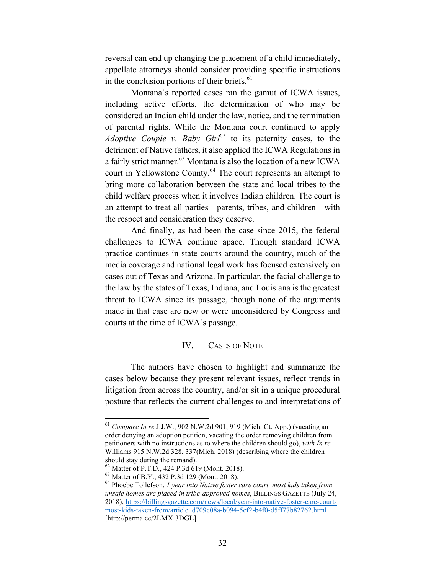reversal can end up changing the placement of a child immediately, appellate attorneys should consider providing specific instructions in the conclusion portions of their briefs.<sup>61</sup>

Montana's reported cases ran the gamut of ICWA issues, including active efforts, the determination of who may be considered an Indian child under the law, notice, and the termination of parental rights. While the Montana court continued to apply *Adoptive Couple v. Baby Girl*<sup>62</sup> to its paternity cases, to the detriment of Native fathers, it also applied the ICWA Regulations in a fairly strict manner.<sup>63</sup> Montana is also the location of a new ICWA court in Yellowstone County.<sup>64</sup> The court represents an attempt to bring more collaboration between the state and local tribes to the child welfare process when it involves Indian children. The court is an attempt to treat all parties—parents, tribes, and children—with the respect and consideration they deserve.

And finally, as had been the case since 2015, the federal challenges to ICWA continue apace. Though standard ICWA practice continues in state courts around the country, much of the media coverage and national legal work has focused extensively on cases out of Texas and Arizona. In particular, the facial challenge to the law by the states of Texas, Indiana, and Louisiana is the greatest threat to ICWA since its passage, though none of the arguments made in that case are new or were unconsidered by Congress and courts at the time of ICWA's passage.

#### IV. CASES OF NOTE

The authors have chosen to highlight and summarize the cases below because they present relevant issues, reflect trends in litigation from across the country, and/or sit in a unique procedural posture that reflects the current challenges to and interpretations of

 <sup>61</sup> *Compare In re* J.J.W., 902 N.W.2d 901, 919 (Mich. Ct. App.) (vacating an order denying an adoption petition, vacating the order removing children from petitioners with no instructions as to where the children should go), *with In re* Williams 915 N.W.2d 328, 337(Mich. 2018) (describing where the children should stay during the remand).<br><sup>62</sup> Matter of P.T.D., 424 P.3d 619 (Mont. 2018).<br><sup>63</sup> Matter of B.Y., 432 P.3d 129 (Mont. 2018).<br><sup>64</sup> Phoebe Tollefson, *1 year into Native foster care court, most kids taken from* 

*unsafe homes are placed in tribe-approved homes*, BILLINGS GAZETTE (July 24, 2018), https://billingsgazette.com/news/local/year-into-native-foster-care-courtmost-kids-taken-from/article\_d709c08a-b094-5ef2-b4f0-d5ff77b82762.html [http://perma.cc/2LMX-3DGL]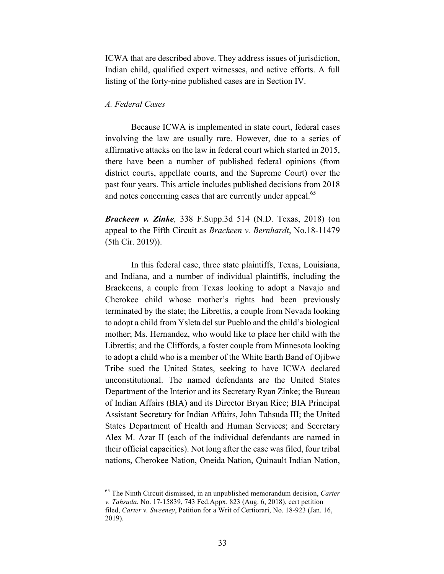ICWA that are described above. They address issues of jurisdiction, Indian child, qualified expert witnesses, and active efforts. A full listing of the forty-nine published cases are in Section IV.

#### *A. Federal Cases*

Because ICWA is implemented in state court, federal cases involving the law are usually rare. However, due to a series of affirmative attacks on the law in federal court which started in 2015, there have been a number of published federal opinions (from district courts, appellate courts, and the Supreme Court) over the past four years. This article includes published decisions from 2018 and notes concerning cases that are currently under appeal.<sup>65</sup>

*Brackeen v. Zinke,* 338 F.Supp.3d 514 (N.D. Texas, 2018) (on appeal to the Fifth Circuit as *Brackeen v. Bernhardt*, No.18-11479 (5th Cir. 2019)).

In this federal case, three state plaintiffs, Texas, Louisiana, and Indiana, and a number of individual plaintiffs, including the Brackeens, a couple from Texas looking to adopt a Navajo and Cherokee child whose mother's rights had been previously terminated by the state; the Librettis, a couple from Nevada looking to adopt a child from Ysleta del sur Pueblo and the child's biological mother; Ms. Hernandez, who would like to place her child with the Librettis; and the Cliffords, a foster couple from Minnesota looking to adopt a child who is a member of the White Earth Band of Ojibwe Tribe sued the United States, seeking to have ICWA declared unconstitutional. The named defendants are the United States Department of the Interior and its Secretary Ryan Zinke; the Bureau of Indian Affairs (BIA) and its Director Bryan Rice; BIA Principal Assistant Secretary for Indian Affairs, John Tahsuda III; the United States Department of Health and Human Services; and Secretary Alex M. Azar II (each of the individual defendants are named in their official capacities). Not long after the case was filed, four tribal nations, Cherokee Nation, Oneida Nation, Quinault Indian Nation,

 <sup>65</sup> The Ninth Circuit dismissed, in an unpublished memorandum decision, *Carter v. Tahsuda*, No. 17-15839, 743 Fed.Appx. 823 (Aug. 6, 2018), cert petition

filed, *Carter v. Sweeney*, Petition for a Writ of Certiorari, No. 18-923 (Jan. 16, 2019).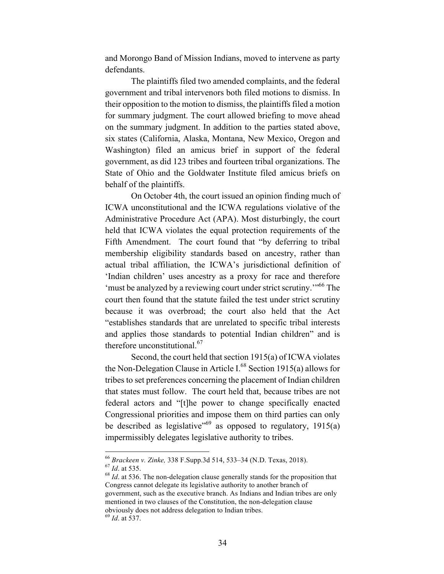and Morongo Band of Mission Indians, moved to intervene as party defendants.

The plaintiffs filed two amended complaints, and the federal government and tribal intervenors both filed motions to dismiss. In their opposition to the motion to dismiss, the plaintiffs filed a motion for summary judgment. The court allowed briefing to move ahead on the summary judgment. In addition to the parties stated above, six states (California, Alaska, Montana, New Mexico, Oregon and Washington) filed an amicus brief in support of the federal government, as did 123 tribes and fourteen tribal organizations. The State of Ohio and the Goldwater Institute filed amicus briefs on behalf of the plaintiffs.

On October 4th, the court issued an opinion finding much of ICWA unconstitutional and the ICWA regulations violative of the Administrative Procedure Act (APA). Most disturbingly, the court held that ICWA violates the equal protection requirements of the Fifth Amendment. The court found that "by deferring to tribal membership eligibility standards based on ancestry, rather than actual tribal affiliation, the ICWA's jurisdictional definition of 'Indian children' uses ancestry as a proxy for race and therefore 'must be analyzed by a reviewing court under strict scrutiny.'"66 The court then found that the statute failed the test under strict scrutiny because it was overbroad; the court also held that the Act "establishes standards that are unrelated to specific tribal interests and applies those standards to potential Indian children" and is therefore unconstitutional. $67$ 

Second, the court held that section 1915(a) of ICWA violates the Non-Delegation Clause in Article I. $^{68}$  Section 1915(a) allows for tribes to set preferences concerning the placement of Indian children that states must follow. The court held that, because tribes are not federal actors and "[t]he power to change specifically enacted Congressional priorities and impose them on third parties can only be described as legislative<sup> $569$ </sup> as opposed to regulatory, 1915(a) impermissibly delegates legislative authority to tribes.

<sup>&</sup>lt;sup>66</sup> *Brackeen v. Zinke*, 338 F.Supp.3d 514, 533–34 (N.D. Texas, 2018).<br><sup>67</sup> *Id*. at 535. The non-delegation clause generally stands for the proposition that <sup>68</sup> *Id*. at 536. The non-delegation clause generally stands f

Congress cannot delegate its legislative authority to another branch of government, such as the executive branch. As Indians and Indian tribes are only mentioned in two clauses of the Constitution, the non-delegation clause obviously does not address delegation to Indian tribes.

<sup>69</sup> *Id*. at 537.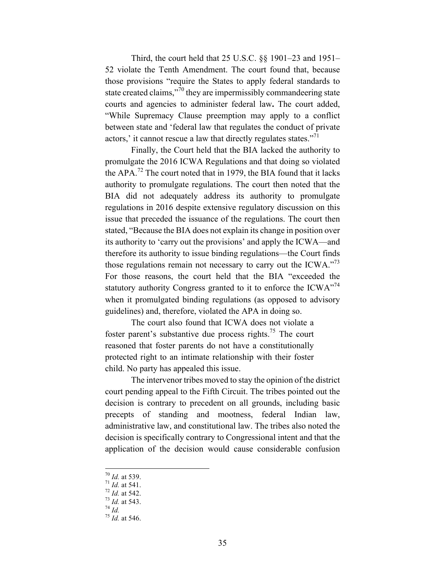Third, the court held that 25 U.S.C. §§ 1901–23 and 1951– 52 violate the Tenth Amendment. The court found that, because those provisions "require the States to apply federal standards to state created claims,"<sup>70</sup> they are impermissibly commandeering state courts and agencies to administer federal law**.** The court added, "While Supremacy Clause preemption may apply to a conflict between state and 'federal law that regulates the conduct of private actors,' it cannot rescue a law that directly regulates states."<sup>71</sup>

Finally, the Court held that the BIA lacked the authority to promulgate the 2016 ICWA Regulations and that doing so violated the APA.<sup>72</sup> The court noted that in 1979, the BIA found that it lacks authority to promulgate regulations. The court then noted that the BIA did not adequately address its authority to promulgate regulations in 2016 despite extensive regulatory discussion on this issue that preceded the issuance of the regulations. The court then stated, "Because the BIA does not explain its change in position over its authority to 'carry out the provisions' and apply the ICWA—and therefore its authority to issue binding regulations—the Court finds those regulations remain not necessary to carry out the ICWA."<sup>73</sup> For those reasons, the court held that the BIA "exceeded the statutory authority Congress granted to it to enforce the  $ICWA<sup>774</sup>$ when it promulgated binding regulations (as opposed to advisory guidelines) and, therefore, violated the APA in doing so.

The court also found that ICWA does not violate a foster parent's substantive due process rights.<sup>75</sup> The court reasoned that foster parents do not have a constitutionally protected right to an intimate relationship with their foster child. No party has appealed this issue.

The intervenor tribes moved to stay the opinion of the district court pending appeal to the Fifth Circuit. The tribes pointed out the decision is contrary to precedent on all grounds, including basic precepts of standing and mootness, federal Indian law, administrative law, and constitutional law. The tribes also noted the decision is specifically contrary to Congressional intent and that the application of the decision would cause considerable confusion

 <sup>70</sup> *Id.* at 539. 71 *Id.* at 541. 72 *Id.* at 542. 73 *Id.* at 543. 74 *Id.* 75 *Id.* at 546.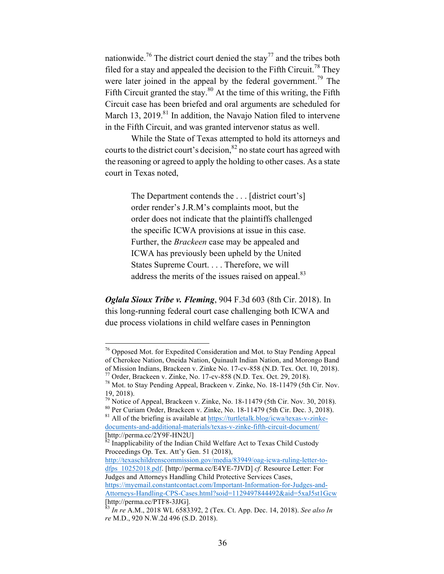nationwide.<sup>76</sup> The district court denied the stay<sup>77</sup> and the tribes both filed for a stay and appealed the decision to the Fifth Circuit.<sup>78</sup> They were later joined in the appeal by the federal government.<sup>79</sup> The Fifth Circuit granted the stay. $80$  At the time of this writing, the Fifth Circuit case has been briefed and oral arguments are scheduled for March 13, 2019.<sup>81</sup> In addition, the Navajo Nation filed to intervene in the Fifth Circuit, and was granted intervenor status as well.

While the State of Texas attempted to hold its attorneys and courts to the district court's decision,  $82$  no state court has agreed with the reasoning or agreed to apply the holding to other cases. As a state court in Texas noted,

> The Department contends the . . . [district court's] order render's J.R.M's complaints moot, but the order does not indicate that the plaintiffs challenged the specific ICWA provisions at issue in this case. Further, the *Brackeen* case may be appealed and ICWA has previously been upheld by the United States Supreme Court. . . . Therefore, we will address the merits of the issues raised on appeal.<sup>83</sup>

*Oglala Sioux Tribe v. Fleming*, 904 F.3d 603 (8th Cir. 2018). In this long-running federal court case challenging both ICWA and due process violations in child welfare cases in Pennington

<sup>&</sup>lt;sup>76</sup> Opposed Mot. for Expedited Consideration and Mot. to Stay Pending Appeal of Cherokee Nation, Oneida Nation, Quinault Indian Nation, and Morongo Band<br>of Mission Indians, Brackeen v. Zinke No. 17-cv-858 (N.D. Tex. Oct. 10, 2018).

<sup>&</sup>lt;sup>77</sup> Order, Brackeen v. Zinke, No. 17-cv-858 (N.D. Tex. Oct. 29, 2018).<br><sup>78</sup> Mot. to Stay Pending Appeal, Brackeen v. Zinke, No. 18-11479 (5th Cir. Nov. 19, 2018).<br> $79$  Notice of Appeal, Brackeen v. Zinke, No. 18-11479 (5th Cir. Nov. 30, 2018).

<sup>&</sup>lt;sup>80</sup> Per Curiam Order, Brackeen v. Zinke, No. 18-11479 (5th Cir. Dec. 3, 2018).<br><sup>81</sup> All of the briefing is available at https://turtletalk.blog/icwa/texas-v-zinke-

documents-and-additional-materials/texas-v-zinke-fifth-circuit-document/ [http://perma.cc/2Y9F-HN2U]<br><sup>82</sup> Inapplicability of the Indian Child Welfare Act to Texas Child Custody

Proceedings Op. Tex. Att'y Gen. 51 (2018),

http://texaschildrenscommission.gov/media/83949/oag-icwa-ruling-letter-todfps\_10252018.pdf. [http://perma.cc/E4YE-7JVD] *cf.* Resource Letter: For Judges and Attorneys Handling Child Protective Services Cases, https://myemail.constantcontact.com/Important-Information-for-Judges-and-Attorneys-Handling-CPS-Cases.html?soid=1129497844492&aid=5xaJ5st1Gcw<br>[http://perma.cc/PTF8-3JJG].

 $^{83}$  *In re* A.M., 2018 WL 6583392, 2 (Tex. Ct. App. Dec. 14, 2018). *See also In re* M.D., 920 N.W.2d 496 (S.D. 2018).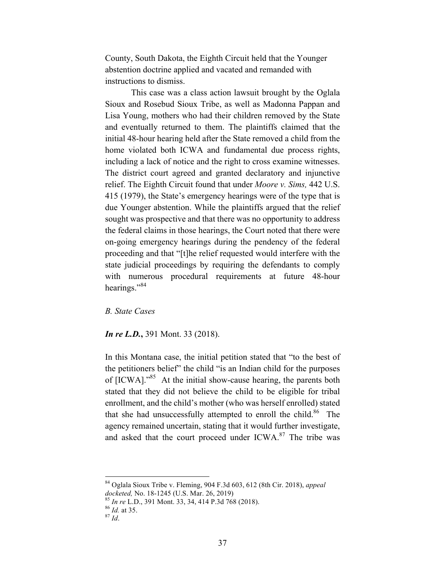County, South Dakota, the Eighth Circuit held that the Younger abstention doctrine applied and vacated and remanded with instructions to dismiss.

This case was a class action lawsuit brought by the Oglala Sioux and Rosebud Sioux Tribe, as well as Madonna Pappan and Lisa Young, mothers who had their children removed by the State and eventually returned to them. The plaintiffs claimed that the initial 48-hour hearing held after the State removed a child from the home violated both ICWA and fundamental due process rights, including a lack of notice and the right to cross examine witnesses. The district court agreed and granted declaratory and injunctive relief. The Eighth Circuit found that under *Moore v. Sims,* 442 U.S. 415 (1979), the State's emergency hearings were of the type that is due Younger abstention. While the plaintiffs argued that the relief sought was prospective and that there was no opportunity to address the federal claims in those hearings, the Court noted that there were on-going emergency hearings during the pendency of the federal proceeding and that "[t]he relief requested would interfere with the state judicial proceedings by requiring the defendants to comply with numerous procedural requirements at future 48-hour hearings."<sup>84</sup>

*B. State Cases*

*In re L.D.***,** 391 Mont. 33 (2018).

In this Montana case, the initial petition stated that "to the best of the petitioners belief" the child "is an Indian child for the purposes of [ICWA]."<sup>85</sup> At the initial show-cause hearing, the parents both stated that they did not believe the child to be eligible for tribal enrollment, and the child's mother (who was herself enrolled) stated that she had unsuccessfully attempted to enroll the child.<sup>86</sup> The agency remained uncertain, stating that it would further investigate, and asked that the court proceed under ICWA.<sup>87</sup> The tribe was

84 Oglala Sioux Tribe v. Fleming, 904 F.3d 603, 612 (8th Cir. 2018), *appeal* 

*docketed,* No. 18-1245 (U.S. Mar. 26, 2019)<br><sup>85</sup> *In re* L.D., 391 Mont. 33, 34, 414 P.3d 768 (2018).<br><sup>86</sup> *Id.* at 35. <sup>87</sup> *Id.*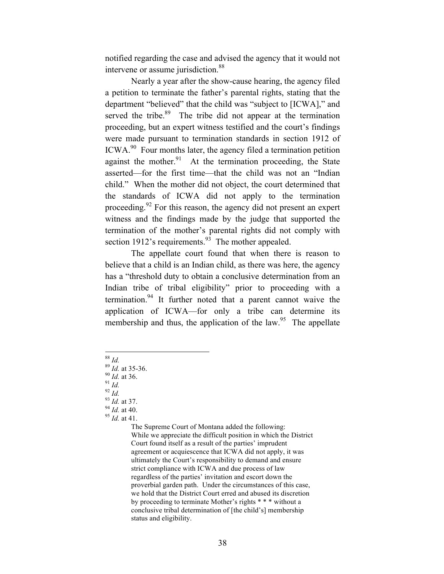notified regarding the case and advised the agency that it would not intervene or assume jurisdiction.<sup>88</sup>

Nearly a year after the show-cause hearing, the agency filed a petition to terminate the father's parental rights, stating that the department "believed" that the child was "subject to [ICWA]," and served the tribe. $89$  The tribe did not appear at the termination proceeding, but an expert witness testified and the court's findings were made pursuant to termination standards in section 1912 of ICWA.90 Four months later, the agency filed a termination petition against the mother.<sup>91</sup> At the termination proceeding, the State asserted—for the first time—that the child was not an "Indian child." When the mother did not object, the court determined that the standards of ICWA did not apply to the termination proceeding.<sup>92</sup> For this reason, the agency did not present an expert witness and the findings made by the judge that supported the termination of the mother's parental rights did not comply with section 1912's requirements. $93$  The mother appealed.

The appellate court found that when there is reason to believe that a child is an Indian child, as there was here, the agency has a "threshold duty to obtain a conclusive determination from an Indian tribe of tribal eligibility" prior to proceeding with a termination. $94$  It further noted that a parent cannot waive the application of ICWA—for only a tribe can determine its membership and thus, the application of the law.<sup>95</sup> The appellate

- 
- 88 *Id.* 89 *Id.* at 35-36. 90 *Id.* at 36. 91 *Id.* 92 *Id.* 93 *Id.* at 37. 94 *Id.* at 40. 95 *Id.* at 41.
- 
- 
- 

- 
- 

The Supreme Court of Montana added the following: While we appreciate the difficult position in which the District Court found itself as a result of the parties' imprudent agreement or acquiescence that ICWA did not apply, it was ultimately the Court's responsibility to demand and ensure strict compliance with ICWA and due process of law regardless of the parties' invitation and escort down the proverbial garden path. Under the circumstances of this case, we hold that the District Court erred and abused its discretion by proceeding to terminate Mother's rights \* \* \* without a conclusive tribal determination of [the child's] membership status and eligibility.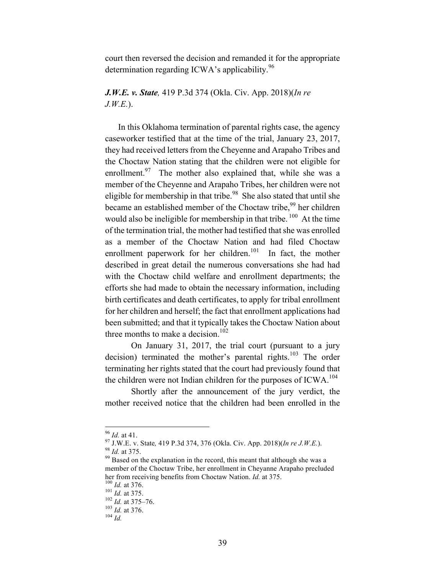court then reversed the decision and remanded it for the appropriate determination regarding ICWA's applicability.  $96$ 

*J.W.E. v. State,* 419 P.3d 374 (Okla. Civ. App. 2018)(*In re J.W.E.*).

In this Oklahoma termination of parental rights case, the agency caseworker testified that at the time of the trial, January 23, 2017, they had received letters from the Cheyenne and Arapaho Tribes and the Choctaw Nation stating that the children were not eligible for enrollment.<sup>97</sup> The mother also explained that, while she was a member of the Cheyenne and Arapaho Tribes, her children were not eligible for membership in that tribe.<sup>98</sup> She also stated that until she became an established member of the Choctaw tribe,<sup>99</sup> her children would also be ineligible for membership in that tribe. <sup>100</sup> At the time of the termination trial, the mother had testified that she was enrolled as a member of the Choctaw Nation and had filed Choctaw enrollment paperwork for her children.<sup>101</sup> In fact, the mother described in great detail the numerous conversations she had had with the Choctaw child welfare and enrollment departments; the efforts she had made to obtain the necessary information, including birth certificates and death certificates, to apply for tribal enrollment for her children and herself; the fact that enrollment applications had been submitted; and that it typically takes the Choctaw Nation about three months to make a decision.<sup>102</sup>

On January 31, 2017, the trial court (pursuant to a jury decision) terminated the mother's parental rights.<sup>103</sup> The order terminating her rights stated that the court had previously found that the children were not Indian children for the purposes of  $ICWA$ <sup>104</sup>

Shortly after the announcement of the jury verdict, the mother received notice that the children had been enrolled in the

<sup>&</sup>lt;sup>96</sup> *Id.* at 41. <sup>97</sup> J.W.E. v. State, 419 P.3d 374, 376 (Okla. Civ. App. 2018)(*In re J.W.E.*). <sup>98</sup> *Id.* at 375. <sup>99</sup> Based on the explanation in the record, this meant that although she was a

member of the Choctaw Tribe, her enrollment in Cheyanne Arapaho precluded her from receiving benefits from Choctaw Nation. *Id.* at 375.<br><sup>100</sup> *Id.* at 376.<br><sup>101</sup> *Id.* at 375–76.<br><sup>103</sup> *Id.* at 376.<br><sup>103</sup> *Id.* at 376.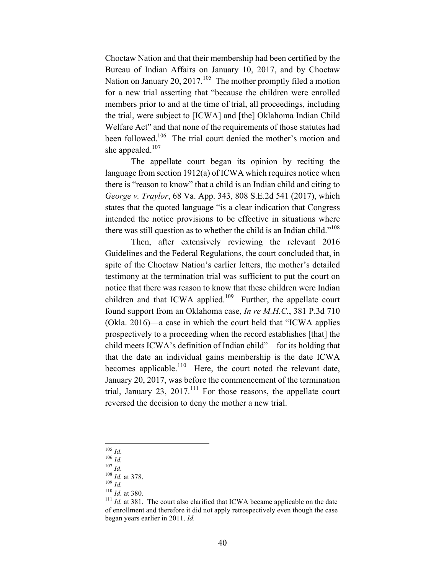Choctaw Nation and that their membership had been certified by the Bureau of Indian Affairs on January 10, 2017, and by Choctaw Nation on January 20,  $2017<sup>105</sup>$  The mother promptly filed a motion for a new trial asserting that "because the children were enrolled members prior to and at the time of trial, all proceedings, including the trial, were subject to [ICWA] and [the] Oklahoma Indian Child Welfare Act" and that none of the requirements of those statutes had been followed.<sup>106</sup> The trial court denied the mother's motion and she appealed. $107$ 

The appellate court began its opinion by reciting the language from section 1912(a) of ICWA which requires notice when there is "reason to know" that a child is an Indian child and citing to *George v. Traylor*, 68 Va. App. 343, 808 S.E.2d 541 (2017), which states that the quoted language "is a clear indication that Congress intended the notice provisions to be effective in situations where there was still question as to whether the child is an Indian child."<sup>108</sup>

Then, after extensively reviewing the relevant 2016 Guidelines and the Federal Regulations, the court concluded that, in spite of the Choctaw Nation's earlier letters, the mother's detailed testimony at the termination trial was sufficient to put the court on notice that there was reason to know that these children were Indian children and that ICWA applied.<sup>109</sup> Further, the appellate court found support from an Oklahoma case, *In re M.H.C.*, 381 P.3d 710 (Okla. 2016)—a case in which the court held that "ICWA applies prospectively to a proceeding when the record establishes [that] the child meets ICWA's definition of Indian child"—for its holding that that the date an individual gains membership is the date ICWA becomes applicable.<sup>110</sup> Here, the court noted the relevant date, January 20, 2017, was before the commencement of the termination trial, January 23, 2017.<sup>111</sup> For those reasons, the appellate court reversed the decision to deny the mother a new trial.

<sup>105</sup> *Id.*<br>
<sup>106</sup> *Id.*<br>
<sup>107</sup> *Id.*<br>
<sup>108</sup> *Id.* at 378.<br>
<sup>109</sup> *Id.* at 380.<br>
<sup>111</sup> *Id.* at 381. The court also clarified that ICWA became applicable on the date of enrollment and therefore it did not apply retrospectively even though the case began years earlier in 2011. *Id.*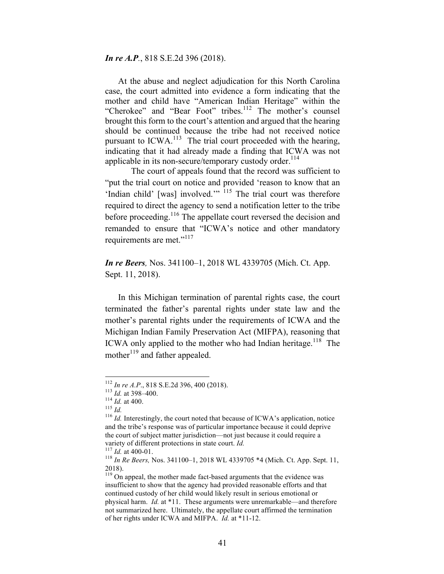*In re A.P.*, 818 S.E.2d 396 (2018).

At the abuse and neglect adjudication for this North Carolina case, the court admitted into evidence a form indicating that the mother and child have "American Indian Heritage" within the "Cherokee" and "Bear Foot" tribes.<sup>112</sup> The mother's counsel brought this form to the court's attention and argued that the hearing should be continued because the tribe had not received notice pursuant to  $ICWA<sup>113</sup>$ . The trial court proceeded with the hearing, indicating that it had already made a finding that ICWA was not applicable in its non-secure/temporary custody order. $114$ 

The court of appeals found that the record was sufficient to "put the trial court on notice and provided 'reason to know that an 'Indian child' [was] involved."<sup>115</sup> The trial court was therefore required to direct the agency to send a notification letter to the tribe before proceeding.<sup>116</sup> The appellate court reversed the decision and remanded to ensure that "ICWA's notice and other mandatory requirements are met."<sup>117</sup>

*In re Beers,* Nos. 341100–1, 2018 WL 4339705 (Mich. Ct. App. Sept. 11, 2018).

In this Michigan termination of parental rights case, the court terminated the father's parental rights under state law and the mother's parental rights under the requirements of ICWA and the Michigan Indian Family Preservation Act (MIFPA), reasoning that ICWA only applied to the mother who had Indian heritage.<sup>118</sup> The mother<sup>119</sup> and father appealed.

<sup>&</sup>lt;sup>112</sup> *In re A.P.*, 818 S.E.2d 396, 400 (2018).<br><sup>113</sup> *Id.* at 398–400.<br><sup>114</sup> *Id.* at 400.<br><sup>116</sup> *Id.* Interestingly, the court noted that because of ICWA's application, notice and the tribe's response was of particular importance because it could deprive the court of subject matter jurisdiction—not just because it could require a variety of different protections in state court. *Id.* <sup>117</sup> *Id.* at 400-01. <sup>118</sup> *In Re Beers*, Nos. 341100–1, 2018 WL 4339705 \*4 (Mich. Ct. App. Sept. 11, <sup>118</sup> *In Re Beers*, Nos. 341100–1, 2018 WL 4339705 \*4 (Mich. C

<sup>2018).</sup>

<sup>&</sup>lt;sup>119</sup> On appeal, the mother made fact-based arguments that the evidence was insufficient to show that the agency had provided reasonable efforts and that continued custody of her child would likely result in serious emotional or physical harm. *Id.* at \*11. These arguments were unremarkable—and therefore not summarized here. Ultimately, the appellate court affirmed the termination of her rights under ICWA and MIFPA. *Id.* at \*11-12.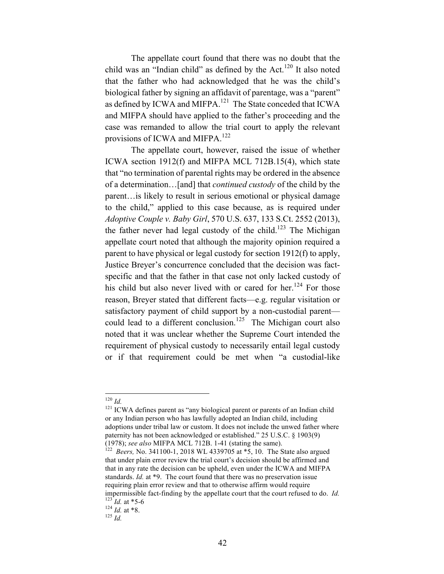The appellate court found that there was no doubt that the child was an "Indian child" as defined by the Act. $120$  It also noted that the father who had acknowledged that he was the child's biological father by signing an affidavit of parentage, was a "parent" as defined by ICWA and MIFPA.<sup>121</sup> The State conceded that ICWA and MIFPA should have applied to the father's proceeding and the case was remanded to allow the trial court to apply the relevant provisions of ICWA and MIFPA.<sup>122</sup>

The appellate court, however, raised the issue of whether ICWA section 1912(f) and MIFPA MCL 712B.15(4), which state that "no termination of parental rights may be ordered in the absence of a determination…[and] that *continued custody* of the child by the parent…is likely to result in serious emotional or physical damage to the child," applied to this case because, as is required under *Adoptive Couple v. Baby Girl*, 570 U.S. 637, 133 S.Ct. 2552 (2013), the father never had legal custody of the child.<sup>123</sup> The Michigan appellate court noted that although the majority opinion required a parent to have physical or legal custody for section 1912(f) to apply, Justice Breyer's concurrence concluded that the decision was factspecific and that the father in that case not only lacked custody of his child but also never lived with or cared for her.<sup>124</sup> For those reason, Breyer stated that different facts—e.g. regular visitation or satisfactory payment of child support by a non-custodial parent could lead to a different conclusion.<sup>125</sup> The Michigan court also noted that it was unclear whether the Supreme Court intended the requirement of physical custody to necessarily entail legal custody or if that requirement could be met when "a custodial-like

<sup>120</sup> *Id.* **121** ICWA defines parent as "any biological parent or parents of an Indian child or any Indian person who has lawfully adopted an Indian child, including adoptions under tribal law or custom. It does not include the unwed father where paternity has not been acknowledged or established." 25 U.S.C. § 1903(9) (1978); *see also* MIFPA MCL 712B. 1-41 (stating the same).

Beers, No. 341100-1, 2018 WL 4339705 at \*5, 10. The State also argued that under plain error review the trial court's decision should be affirmed and that in any rate the decision can be upheld, even under the ICWA and MIFPA standards. *Id.* at \*9. The court found that there was no preservation issue requiring plain error review and that to otherwise affirm would require impermissible fact-finding by the appellate court that the court refused to do. *Id.*<sup>123</sup> *Id.* at \*5-6 <sup>124</sup> *Id.* at \*8. <sup>125</sup> *Id.*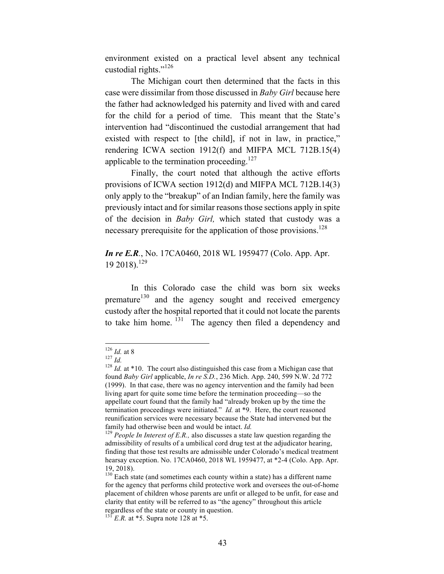environment existed on a practical level absent any technical custodial rights."<sup>126</sup>

The Michigan court then determined that the facts in this case were dissimilar from those discussed in *Baby Girl* because here the father had acknowledged his paternity and lived with and cared for the child for a period of time. This meant that the State's intervention had "discontinued the custodial arrangement that had existed with respect to [the child], if not in law, in practice," rendering ICWA section 1912(f) and MIFPA MCL 712B.15(4) applicable to the termination proceeding.<sup>127</sup>

Finally, the court noted that although the active efforts provisions of ICWA section 1912(d) and MIFPA MCL 712B.14(3) only apply to the "breakup" of an Indian family, here the family was previously intact and for similar reasons those sections apply in spite of the decision in *Baby Girl,* which stated that custody was a necessary prerequisite for the application of those provisions.<sup>128</sup>

#### *In re E.R.*, No. 17CA0460, 2018 WL 1959477 (Colo. App. Apr. 19 2018).<sup>129</sup>

In this Colorado case the child was born six weeks premature<sup>130</sup> and the agency sought and received emergency custody after the hospital reported that it could not locate the parents to take him home.  $131$  The agency then filed a dependency and

<sup>126</sup> *Id.* at 8<br><sup>127</sup> *Id.* 128 *Id.* at \*10. The court also distinguished this case from a Michigan case that found *Baby Girl* applicable, *In re S.D.*, 236 Mich. App. 240, 599 N.W. 2d 772 (1999). In that case, there was no agency intervention and the family had been living apart for quite some time before the termination proceeding—so the appellate court found that the family had "already broken up by the time the termination proceedings were initiated." *Id.* at \*9. Here, the court reasoned reunification services were necessary because the State had intervened but the family had otherwise been and would be intact. *Id.* <sup>129</sup> *People In Interest of E.R.*, also discusses a state law question regarding the

admissibility of results of a umbilical cord drug test at the adjudicator hearing, finding that those test results are admissible under Colorado's medical treatment hearsay exception. No. 17CA0460, 2018 WL 1959477, at \*2-4 (Colo. App. Apr. 19, 2018).

 $130$  Each state (and sometimes each county within a state) has a different name for the agency that performs child protective work and oversees the out-of-home placement of children whose parents are unfit or alleged to be unfit, for ease and clarity that entity will be referred to as "the agency" throughout this article regardless of the state or county in question.

 $^{131}$  *E.R.* at \*5. Supra note 128 at \*5.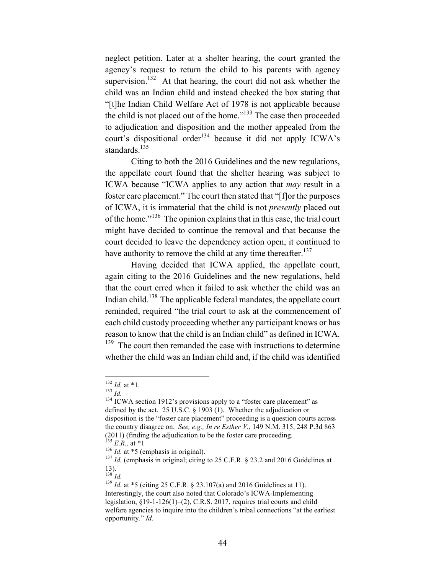neglect petition. Later at a shelter hearing, the court granted the agency's request to return the child to his parents with agency supervision.<sup>132</sup> At that hearing, the court did not ask whether the child was an Indian child and instead checked the box stating that "[t]he Indian Child Welfare Act of 1978 is not applicable because the child is not placed out of the home."133 The case then proceeded to adjudication and disposition and the mother appealed from the court's dispositional order<sup>134</sup> because it did not apply ICWA's standards.<sup>135</sup>

Citing to both the 2016 Guidelines and the new regulations, the appellate court found that the shelter hearing was subject to ICWA because "ICWA applies to any action that *may* result in a foster care placement." The court then stated that "[f]or the purposes of ICWA, it is immaterial that the child is not *presently* placed out of the home."136 The opinion explains that in this case, the trial court might have decided to continue the removal and that because the court decided to leave the dependency action open, it continued to have authority to remove the child at any time thereafter.<sup>137</sup>

Having decided that ICWA applied, the appellate court, again citing to the 2016 Guidelines and the new regulations, held that the court erred when it failed to ask whether the child was an Indian child.<sup>138</sup> The applicable federal mandates, the appellate court reminded, required "the trial court to ask at the commencement of each child custody proceeding whether any participant knows or has reason to know that the child is an Indian child" as defined in ICWA. <sup>139</sup> The court then remanded the case with instructions to determine whether the child was an Indian child and, if the child was identified

<sup>&</sup>lt;sup>132</sup> *Id.* at \*1.<br><sup>133</sup> *Id.* 134 ICWA section 1912's provisions apply to a "foster care placement" as defined by the act. 25 U.S.C. § 1903 (1). Whether the adjudication or disposition is the "foster care placement" proceeding is a question courts across the country disagree on. *See, e.g., In re Esther V.*, 149 N.M. 315, 248 P.3d 863 (2011) (finding the adjudication to be the foster care proceeding.<br>
<sup>135</sup> *E.R.*, at \*1<br>
<sup>136</sup> *Id.* at \*5 (emphasis in original).<br>
<sup>137</sup> *Id.* (emphasis in original; citing to 25 C.F.R. § 23.2 and 2016 Guidelines at

 $\frac{13}{138}$  *Id.* 

<sup>139</sup> *Id.* at \*5 (citing 25 C.F.R. § 23.107(a) and 2016 Guidelines at 11). Interestingly, the court also noted that Colorado's ICWA-Implementing legislation, §19-1-126(1)–(2), C.R.S. 2017, requires trial courts and child welfare agencies to inquire into the children's tribal connections "at the earliest opportunity." *Id.*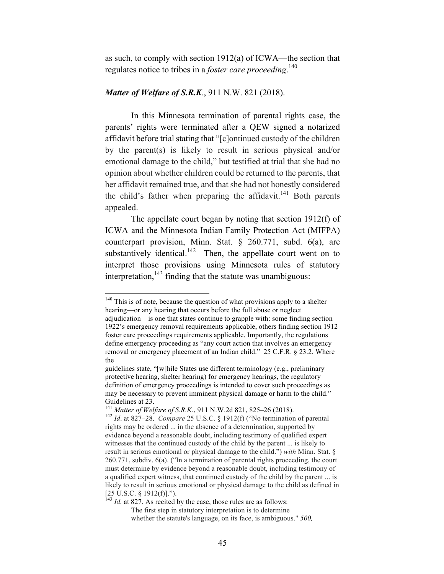as such, to comply with section 1912(a) of ICWA—the section that regulates notice to tribes in a *foster care proceeding*. 140

#### *Matter of Welfare of S.R.K*., 911 N.W. 821 (2018).

In this Minnesota termination of parental rights case, the parents' rights were terminated after a QEW signed a notarized affidavit before trial stating that "[c]ontinued custody of the children by the parent(s) is likely to result in serious physical and/or emotional damage to the child," but testified at trial that she had no opinion about whether children could be returned to the parents, that her affidavit remained true, and that she had not honestly considered the child's father when preparing the affidavit.<sup>141</sup> Both parents appealed.

The appellate court began by noting that section 1912(f) of ICWA and the Minnesota Indian Family Protection Act (MIFPA) counterpart provision, Minn. Stat. § 260.771, subd. 6(a), are substantively identical.<sup>142</sup> Then, the appellate court went on to interpret those provisions using Minnesota rules of statutory interpretation, $143$  finding that the statute was unambiguous:

<sup>&</sup>lt;sup>140</sup> This is of note, because the question of what provisions apply to a shelter hearing—or any hearing that occurs before the full abuse or neglect

adjudication—is one that states continue to grapple with: some finding section 1922's emergency removal requirements applicable, others finding section 1912 foster care proceedings requirements applicable. Importantly, the regulations define emergency proceeding as "any court action that involves an emergency removal or emergency placement of an Indian child." 25 C.F.R. § 23.2. Where the

guidelines state, "[w]hile States use different terminology (e.g., preliminary protective hearing, shelter hearing) for emergency hearings, the regulatory definition of emergency proceedings is intended to cover such proceedings as may be necessary to prevent imminent physical damage or harm to the child." Guidelines at 23.<br><sup>141</sup> Matter of Welfare of S.R.K., 911 N.W.2d 821, 825–26 (2018).

<sup>&</sup>lt;sup>142</sup> *Id.* at 827–28. *Compare* 25 U.S.C. § 1912(f) ("No termination of parental rights may be ordered ... in the absence of a determination, supported by evidence beyond a reasonable doubt, including testimony of qualified expert witnesses that the continued custody of the child by the parent ... is likely to result in serious emotional or physical damage to the child.") *with* Minn. Stat. § 260.771, subdiv. 6(a). ("In a termination of parental rights proceeding, the court must determine by evidence beyond a reasonable doubt, including testimony of a qualified expert witness, that continued custody of the child by the parent ... is likely to result in serious emotional or physical damage to the child as defined in  $[25 \text{ U.S.C. } § 1912(f)].$ ").

<sup>&</sup>lt;sup>143</sup> *Id.* at 827. As recited by the case, those rules are as follows:

The first step in statutory interpretation is to determine whether the statute's language, on its face, is ambiguous." *500,*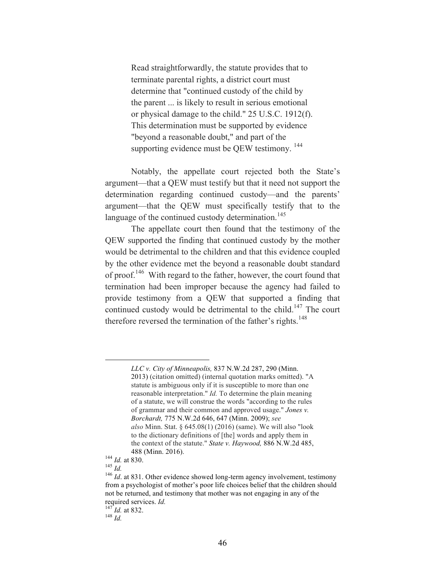Read straightforwardly, the statute provides that to terminate parental rights, a district court must determine that "continued custody of the child by the parent ... is likely to result in serious emotional or physical damage to the child." 25 U.S.C. 1912(f). This determination must be supported by evidence "beyond a reasonable doubt," and part of the supporting evidence must be QEW testimony.<sup>144</sup>

Notably, the appellate court rejected both the State's argument—that a QEW must testify but that it need not support the determination regarding continued custody—and the parents' argument—that the QEW must specifically testify that to the language of the continued custody determination.<sup>145</sup>

The appellate court then found that the testimony of the QEW supported the finding that continued custody by the mother would be detrimental to the children and that this evidence coupled by the other evidence met the beyond a reasonable doubt standard of proof.<sup>146</sup> With regard to the father, however, the court found that termination had been improper because the agency had failed to provide testimony from a QEW that supported a finding that continued custody would be detrimental to the child.<sup>147</sup> The court therefore reversed the termination of the father's rights.<sup>148</sup>

1

*LLC v. City of Minneapolis,* 837 N.W.2d 287, 290 (Minn.

<sup>2013)</sup> (citation omitted) (internal quotation marks omitted). "A statute is ambiguous only if it is susceptible to more than one reasonable interpretation." *Id.* To determine the plain meaning of a statute, we will construe the words "according to the rules of grammar and their common and approved usage." *Jones v. Borchardt,* 775 N.W.2d 646, 647 (Minn. 2009); *see also* Minn. Stat. § 645.08(1) (2016) (same). We will also "look to the dictionary definitions of [the] words and apply them in the context of the statute." *State v. Haywood,* 886 N.W.2d 485,

<sup>488 (</sup>Minn. 2016).<br>
<sup>144</sup> *Id.* at 830.<br>
<sup>145</sup> *Id.* at 831. Other evidence showed long-term agency involvement, testimony<br>
<sup>146</sup> *Id.* at 831. Other evidence showed long-term agency involvement, testimony from a psychologist of mother's poor life choices belief that the children should not be returned, and testimony that mother was not engaging in any of the required services. *Id.* <sup>147</sup> *Id.* at 832. 148 *Id.*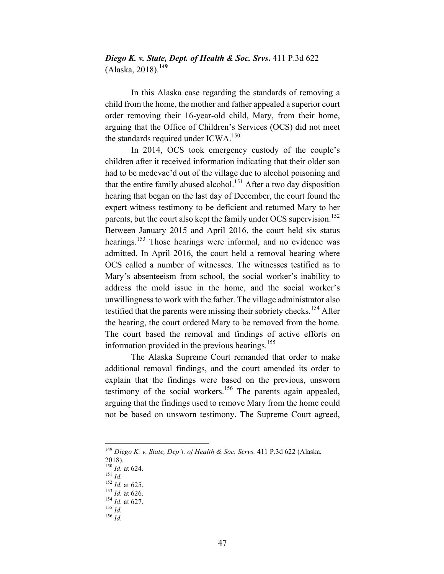*Diego K. v. State, Dept. of Health & Soc. Srvs***.** 411 P.3d 622 (Alaska, 2018).**<sup>149</sup>**

In this Alaska case regarding the standards of removing a child from the home, the mother and father appealed a superior court order removing their 16-year-old child, Mary, from their home, arguing that the Office of Children's Services (OCS) did not meet the standards required under ICWA.<sup>150</sup>

In 2014, OCS took emergency custody of the couple's children after it received information indicating that their older son had to be medevac'd out of the village due to alcohol poisoning and that the entire family abused alcohol. <sup>151</sup> After a two day disposition hearing that began on the last day of December, the court found the expert witness testimony to be deficient and returned Mary to her parents, but the court also kept the family under OCS supervision.<sup>152</sup> Between January 2015 and April 2016, the court held six status hearings.<sup>153</sup> Those hearings were informal, and no evidence was admitted. In April 2016, the court held a removal hearing where OCS called a number of witnesses. The witnesses testified as to Mary's absenteeism from school, the social worker's inability to address the mold issue in the home, and the social worker's unwillingness to work with the father. The village administrator also testified that the parents were missing their sobriety checks.<sup>154</sup> After the hearing, the court ordered Mary to be removed from the home. The court based the removal and findings of active efforts on information provided in the previous hearings.<sup>155</sup>

The Alaska Supreme Court remanded that order to make additional removal findings, and the court amended its order to explain that the findings were based on the previous, unsworn testimony of the social workers.<sup>156</sup> The parents again appealed, arguing that the findings used to remove Mary from the home could not be based on unsworn testimony. The Supreme Court agreed,

 <sup>149</sup> *Diego K. v. State, Dep't. of Health & Soc. Servs.* 411 P.3d 622 (Alaska,

 $2018$ ).<br><sup>150</sup> *Id.* at 624.

<sup>151</sup> *Id.*<br>
152 *Id.* at 625.<br>
153 *Id.* at 626.<br>
154 *Id.* at 627.<br>
155 *Id.* 156 *Id.*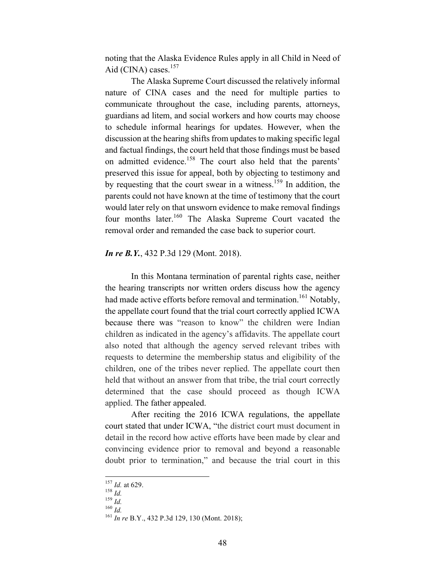noting that the Alaska Evidence Rules apply in all Child in Need of Aid (CINA) cases. $157$ 

The Alaska Supreme Court discussed the relatively informal nature of CINA cases and the need for multiple parties to communicate throughout the case, including parents, attorneys, guardians ad litem, and social workers and how courts may choose to schedule informal hearings for updates. However, when the discussion at the hearing shifts from updates to making specific legal and factual findings, the court held that those findings must be based on admitted evidence.<sup>158</sup> The court also held that the parents' preserved this issue for appeal, both by objecting to testimony and by requesting that the court swear in a witness.<sup>159</sup> In addition, the parents could not have known at the time of testimony that the court would later rely on that unsworn evidence to make removal findings four months later.<sup>160</sup> The Alaska Supreme Court vacated the removal order and remanded the case back to superior court.

#### *In re B.Y.*, 432 P.3d 129 (Mont. 2018).

In this Montana termination of parental rights case, neither the hearing transcripts nor written orders discuss how the agency had made active efforts before removal and termination.<sup>161</sup> Notably, the appellate court found that the trial court correctly applied ICWA because there was "reason to know" the children were Indian children as indicated in the agency's affidavits. The appellate court also noted that although the agency served relevant tribes with requests to determine the membership status and eligibility of the children, one of the tribes never replied. The appellate court then held that without an answer from that tribe, the trial court correctly determined that the case should proceed as though ICWA applied. The father appealed.

After reciting the 2016 ICWA regulations, the appellate court stated that under ICWA, "the district court must document in detail in the record how active efforts have been made by clear and convincing evidence prior to removal and beyond a reasonable doubt prior to termination," and because the trial court in this

<sup>157</sup> *Id.* at 629.<br>
<sup>158</sup> *Id.*<br>
<sup>159</sup> *Id.* 160 *Id.*<br>
<sup>161</sup> *In re* B.Y., 432 P.3d 129, 130 (Mont. 2018);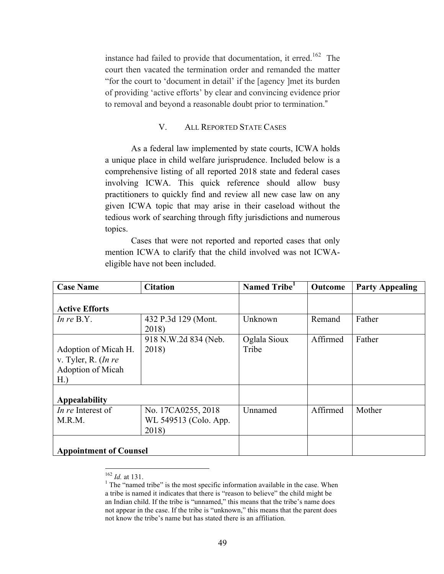instance had failed to provide that documentation, it erred.<sup>162</sup> The court then vacated the termination order and remanded the matter "for the court to 'document in detail' if the [agency ]met its burden of providing 'active efforts' by clear and convincing evidence prior to removal and beyond a reasonable doubt prior to termination."

#### V. ALL REPORTED STATE CASES

As a federal law implemented by state courts, ICWA holds a unique place in child welfare jurisprudence. Included below is a comprehensive listing of all reported 2018 state and federal cases involving ICWA. This quick reference should allow busy practitioners to quickly find and review all new case law on any given ICWA topic that may arise in their caseload without the tedious work of searching through fifty jurisdictions and numerous topics.

Cases that were not reported and reported cases that only mention ICWA to clarify that the child involved was not ICWAeligible have not been included.

| <b>Case Name</b>                                                            | <b>Citation</b>                                      | Named Tribe <sup>1</sup> | Outcome  | <b>Party Appealing</b> |
|-----------------------------------------------------------------------------|------------------------------------------------------|--------------------------|----------|------------------------|
| <b>Active Efforts</b>                                                       |                                                      |                          |          |                        |
| In $re$ B.Y.                                                                | 432 P.3d 129 (Mont.<br>2018)                         | Unknown                  | Remand   | Father                 |
| Adoption of Micah H.<br>v. Tyler, R. $(In \, re$<br>Adoption of Micah<br>H. | 918 N.W.2d 834 (Neb.<br>2018)                        | Oglala Sioux<br>Tribe    | Affirmed | Father                 |
| <b>Appealability</b>                                                        |                                                      |                          |          |                        |
| In re Interest of<br>M.R.M.                                                 | No. 17CA0255, 2018<br>WL 549513 (Colo. App.<br>2018) | Unnamed                  | Affirmed | Mother                 |
| <b>Appointment of Counsel</b>                                               |                                                      |                          |          |                        |

<sup>&</sup>lt;sup>162</sup> *Id.* at 131. <sup>1</sup> The "named tribe" is the most specific information available in the case. When a tribe is named it indicates that there is "reason to believe" the child might be an Indian child. If the tribe is "unnamed," this means that the tribe's name does not appear in the case. If the tribe is "unknown," this means that the parent does not know the tribe's name but has stated there is an affiliation.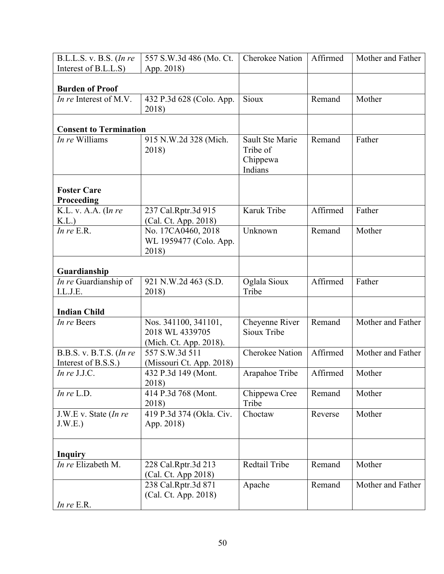| B.L.L.S. v. B.S. (In re<br>Interest of B.L.L.S) | 557 S.W.3d 486 (Mo. Ct.<br>App. 2018)                             | <b>Cherokee Nation</b>                             | Affirmed | Mother and Father |
|-------------------------------------------------|-------------------------------------------------------------------|----------------------------------------------------|----------|-------------------|
| <b>Burden of Proof</b>                          |                                                                   |                                                    |          |                   |
| <i>In re</i> Interest of M.V.                   | 432 P.3d 628 (Colo. App.<br>2018)                                 | Sioux                                              | Remand   | Mother            |
| <b>Consent to Termination</b>                   |                                                                   |                                                    |          |                   |
| In re Williams                                  | 915 N.W.2d 328 (Mich.<br>2018)                                    | Sault Ste Marie<br>Tribe of<br>Chippewa<br>Indians | Remand   | Father            |
| <b>Foster Care</b><br>Proceeding                |                                                                   |                                                    |          |                   |
| K.L. v. A.A. (In re<br>K.L.                     | 237 Cal.Rptr.3d 915<br>(Cal. Ct. App. 2018)                       | Karuk Tribe                                        | Affirmed | Father            |
| In $re$ E.R.                                    | No. 17CA0460, 2018<br>WL 1959477 (Colo. App.<br>2018)             | Unknown                                            | Remand   | Mother            |
| Guardianship                                    |                                                                   |                                                    |          |                   |
| In re Guardianship of<br>I.L.J.E.               | 921 N.W.2d 463 (S.D.<br>2018)                                     | Oglala Sioux<br>Tribe                              | Affirmed | Father            |
| <b>Indian Child</b>                             |                                                                   |                                                    |          |                   |
| In re Beers                                     | Nos. 341100, 341101,<br>2018 WL 4339705<br>(Mich. Ct. App. 2018). | Cheyenne River<br>Sioux Tribe                      | Remand   | Mother and Father |
| B.B.S. v. B.T.S. (In re<br>Interest of B.S.S.)  | 557 S.W.3d 511<br>(Missouri Ct. App. 2018)                        | <b>Cherokee Nation</b>                             | Affirmed | Mother and Father |
| In re J.J.C.                                    | 432 P.3d 149 (Mont.<br>2018)                                      | Arapahoe Tribe                                     | Affirmed | Mother            |
| In $re$ L.D.                                    | 414 P.3d 768 (Mont.<br>2018)                                      | Chippewa Cree<br>Tribe                             | Remand   | Mother            |
| J.W.E v. State $(Inre$<br>J.W.E.)               | 419 P.3d 374 (Okla. Civ.<br>App. 2018)                            | Choctaw                                            | Reverse  | Mother            |
| <b>Inquiry</b>                                  |                                                                   |                                                    |          |                   |
| In re Elizabeth M.                              | 228 Cal.Rptr.3d 213<br>(Cal. Ct. App 2018)                        | Redtail Tribe                                      | Remand   | Mother            |
|                                                 | 238 Cal.Rptr.3d 871<br>(Cal. Ct. App. 2018)                       | Apache                                             | Remand   | Mother and Father |
| In $re$ E.R.                                    |                                                                   |                                                    |          |                   |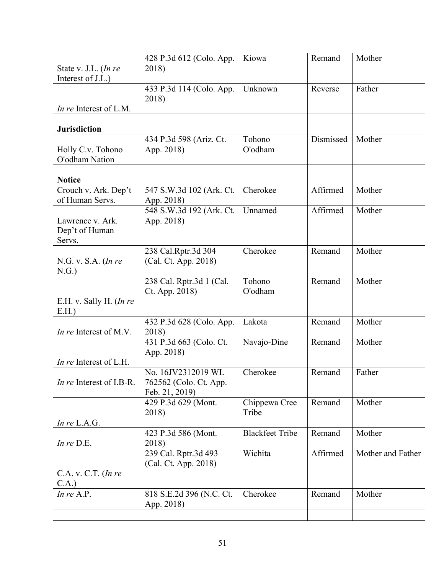| State v. J.L. (In re<br>Interest of J.L.)    | 428 P.3d 612 (Colo. App.<br>2018)                              | Kiowa                  | Remand    | Mother            |
|----------------------------------------------|----------------------------------------------------------------|------------------------|-----------|-------------------|
|                                              | 433 P.3d 114 (Colo. App.<br>2018)                              | Unknown                | Reverse   | Father            |
| <i>In re</i> Interest of L.M.                |                                                                |                        |           |                   |
| <b>Jurisdiction</b>                          |                                                                |                        |           |                   |
| Holly C.v. Tohono<br>O'odham Nation          | 434 P.3d 598 (Ariz. Ct.<br>App. 2018)                          | Tohono<br>O'odham      | Dismissed | Mother            |
| <b>Notice</b>                                |                                                                |                        |           |                   |
| Crouch v. Ark. Dep't<br>of Human Servs.      | 547 S.W.3d 102 (Ark. Ct.<br>App. 2018)                         | Cherokee               | Affirmed  | Mother            |
| Lawrence v. Ark.<br>Dep't of Human<br>Servs. | 548 S.W.3d 192 (Ark. Ct.<br>App. 2018)                         | Unnamed                | Affirmed  | Mother            |
| N.G. v. S.A. $(ln re)$<br>N.G.               | 238 Cal.Rptr.3d 304<br>(Cal. Ct. App. 2018)                    | Cherokee               | Remand    | Mother            |
| E.H. v. Sally H. (In re<br>E.H.              | 238 Cal. Rptr.3d 1 (Cal.<br>Ct. App. 2018)                     | Tohono<br>O'odham      | Remand    | Mother            |
| <i>In re</i> Interest of M.V.                | 432 P.3d 628 (Colo. App.<br>2018)                              | Lakota                 | Remand    | Mother            |
| <i>In re</i> Interest of L.H.                | 431 P.3d 663 (Colo. Ct.<br>App. 2018)                          | Navajo-Dine            | Remand    | Mother            |
| In re Interest of I.B-R.                     | No. 16JV2312019 WL<br>762562 (Colo. Ct. App.<br>Feb. 21, 2019) | Cherokee               | Remand    | Father            |
| In $re$ L.A.G.                               | 429 P.3d 629 (Mont.<br>2018)                                   | Chippewa Cree<br>Tribe | Remand    | Mother            |
| In re D.E.                                   | 423 P.3d 586 (Mont.<br>2018)                                   | <b>Blackfeet Tribe</b> | Remand    | Mother            |
| $C.A. v. C.T.$ (In re                        | 239 Cal. Rptr.3d 493<br>(Cal. Ct. App. 2018)                   | Wichita                | Affirmed  | Mother and Father |
| C.A.)<br>In $re$ A.P.                        | 818 S.E.2d 396 (N.C. Ct.<br>App. 2018)                         | Cherokee               | Remand    | Mother            |
|                                              |                                                                |                        |           |                   |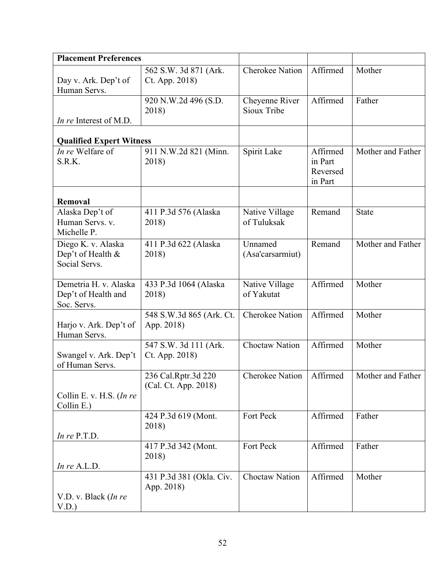| <b>Placement Preferences</b>                                |                                             |                               |                                            |                   |
|-------------------------------------------------------------|---------------------------------------------|-------------------------------|--------------------------------------------|-------------------|
|                                                             |                                             | <b>Cherokee Nation</b>        | Affirmed                                   | Mother            |
| Day v. Ark. Dep't of<br>Human Servs.                        | 562 S.W. 3d 871 (Ark.<br>Ct. App. 2018)     |                               |                                            |                   |
| <i>In re</i> Interest of M.D.                               | 920 N.W.2d 496 (S.D.<br>2018)               | Cheyenne River<br>Sioux Tribe | Affirmed                                   | Father            |
|                                                             |                                             |                               |                                            |                   |
| <b>Qualified Expert Witness</b>                             |                                             |                               |                                            |                   |
| In re Welfare of<br>S.R.K.                                  | 911 N.W.2d 821 (Minn.<br>2018)              | Spirit Lake                   | Affirmed<br>in Part<br>Reversed<br>in Part | Mother and Father |
| Removal                                                     |                                             |                               |                                            |                   |
| Alaska Dep't of<br>Human Servs. v.<br>Michelle P.           | 411 P.3d 576 (Alaska<br>2018)               | Native Village<br>of Tuluksak | Remand                                     | <b>State</b>      |
| Diego K. v. Alaska<br>Dep't of Health &<br>Social Servs.    | 411 P.3d 622 (Alaska<br>2018)               | Unnamed<br>(Asa'carsarmiut)   | Remand                                     | Mother and Father |
| Demetria H. v. Alaska<br>Dep't of Health and<br>Soc. Servs. | 433 P.3d 1064 (Alaska<br>2018)              | Native Village<br>of Yakutat  | Affirmed                                   | Mother            |
| Harjo v. Ark. Dep't of<br>Human Servs.                      | 548 S.W.3d 865 (Ark. Ct.<br>App. 2018)      | <b>Cherokee Nation</b>        | Affirmed                                   | Mother            |
| Swangel v. Ark. Dep't<br>of Human Servs.                    | 547 S.W. 3d 111 (Ark.<br>Ct. App. 2018)     | <b>Choctaw Nation</b>         | Affirmed                                   | Mother            |
| Collin E. v. H.S. (In re<br>Collin E.)                      | 236 Cal.Rptr.3d 220<br>(Cal. Ct. App. 2018) | Cherokee Nation   Affirmed    |                                            | Mother and Father |
| In $re$ P.T.D.                                              | 424 P.3d 619 (Mont.<br>2018)                | Fort Peck                     | Affirmed                                   | Father            |
| In $re$ A.L.D.                                              | 417 P.3d 342 (Mont.<br>2018)                | Fort Peck                     | Affirmed                                   | Father            |
| V.D. v. Black (In re<br>V.D.                                | 431 P.3d 381 (Okla. Civ.<br>App. 2018)      | <b>Choctaw Nation</b>         | Affirmed                                   | Mother            |